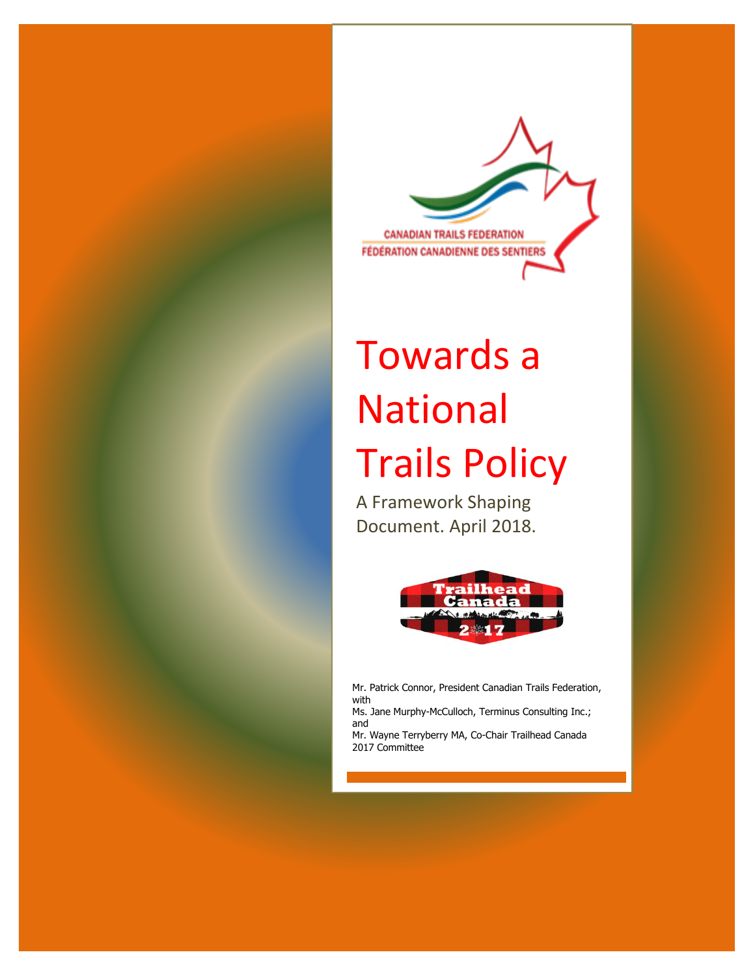

# Towards a National Trails Policy

A Framework Shaping Document. April 2018.



Mr. Patrick Connor, President Canadian Trails Federation, with

Ms. Jane Murphy-McCulloch, Terminus Consulting Inc.; and

Mr. Wayne Terryberry MA, Co-Chair Trailhead Canada 2017 Committee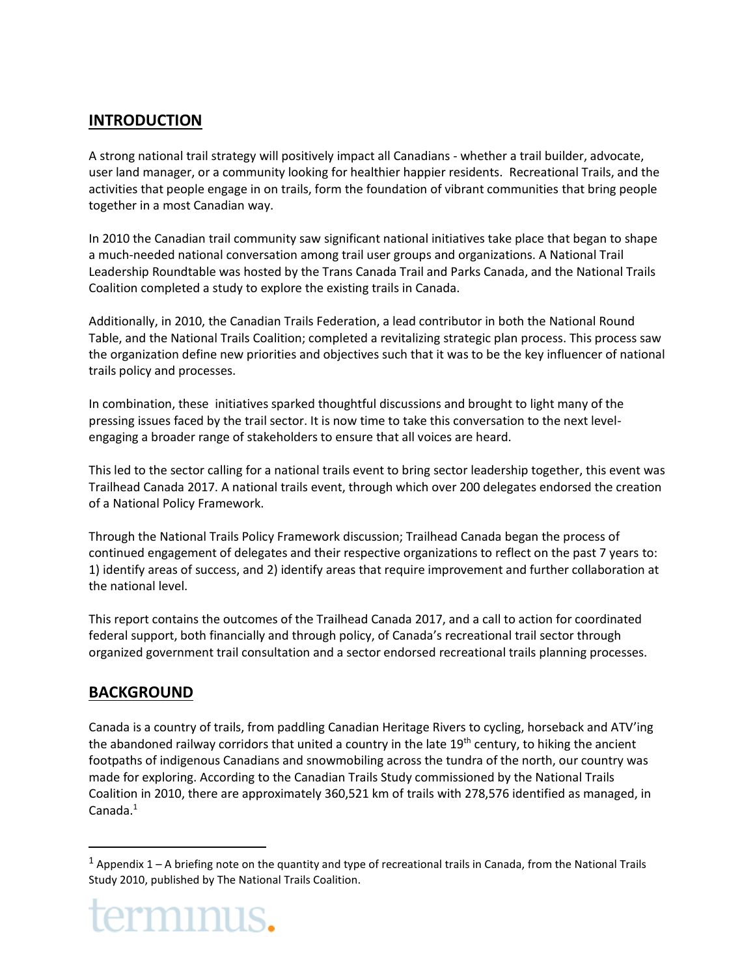## **INTRODUCTION**

A strong national trail strategy will positively impact all Canadians - whether a trail builder, advocate, user land manager, or a community looking for healthier happier residents. Recreational Trails, and the activities that people engage in on trails, form the foundation of vibrant communities that bring people together in a most Canadian way.

In 2010 the Canadian trail community saw significant national initiatives take place that began to shape a much-needed national conversation among trail user groups and organizations. A National Trail Leadership Roundtable was hosted by the Trans Canada Trail and Parks Canada, and the National Trails Coalition completed a study to explore the existing trails in Canada.

Additionally, in 2010, the Canadian Trails Federation, a lead contributor in both the National Round Table, and the National Trails Coalition; completed a revitalizing strategic plan process. This process saw the organization define new priorities and objectives such that it was to be the key influencer of national trails policy and processes.

In combination, these initiatives sparked thoughtful discussions and brought to light many of the pressing issues faced by the trail sector. It is now time to take this conversation to the next levelengaging a broader range of stakeholders to ensure that all voices are heard.

This led to the sector calling for a national trails event to bring sector leadership together, this event was Trailhead Canada 2017. A national trails event, through which over 200 delegates endorsed the creation of a National Policy Framework.

Through the National Trails Policy Framework discussion; Trailhead Canada began the process of continued engagement of delegates and their respective organizations to reflect on the past 7 years to: 1) identify areas of success, and 2) identify areas that require improvement and further collaboration at the national level.

This report contains the outcomes of the Trailhead Canada 2017, and a call to action for coordinated federal support, both financially and through policy, of Canada's recreational trail sector through organized government trail consultation and a sector endorsed recreational trails planning processes.

## **BACKGROUND**

 $\overline{a}$ 

Canada is a country of trails, from paddling Canadian Heritage Rivers to cycling, horseback and ATV'ing the abandoned railway corridors that united a country in the late  $19<sup>th</sup>$  century, to hiking the ancient footpaths of indigenous Canadians and snowmobiling across the tundra of the north, our country was made for exploring. According to the Canadian Trails Study commissioned by the National Trails Coalition in 2010, there are approximately 360,521 km of trails with 278,576 identified as managed, in Canada.<sup>1</sup>

 $1$  Appendix 1 – A briefing note on the quantity and type of recreational trails in Canada, from the National Trails Study 2010, published by The National Trails Coalition.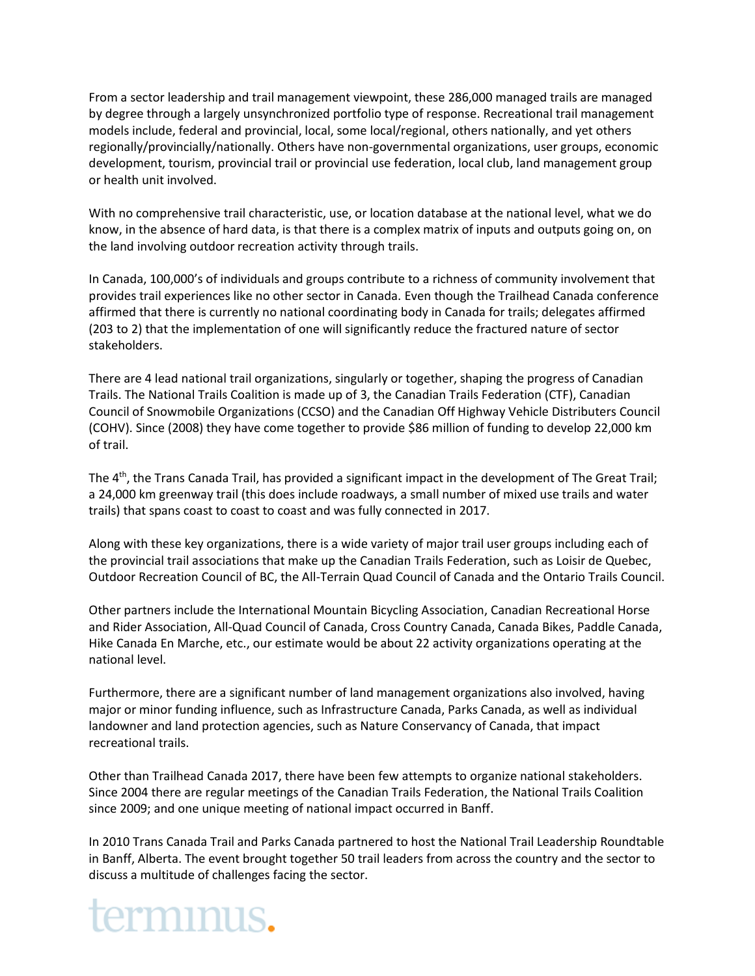From a sector leadership and trail management viewpoint, these 286,000 managed trails are managed by degree through a largely unsynchronized portfolio type of response. Recreational trail management models include, federal and provincial, local, some local/regional, others nationally, and yet others regionally/provincially/nationally. Others have non-governmental organizations, user groups, economic development, tourism, provincial trail or provincial use federation, local club, land management group or health unit involved.

With no comprehensive trail characteristic, use, or location database at the national level, what we do know, in the absence of hard data, is that there is a complex matrix of inputs and outputs going on, on the land involving outdoor recreation activity through trails.

In Canada, 100,000's of individuals and groups contribute to a richness of community involvement that provides trail experiences like no other sector in Canada. Even though the Trailhead Canada conference affirmed that there is currently no national coordinating body in Canada for trails; delegates affirmed (203 to 2) that the implementation of one will significantly reduce the fractured nature of sector stakeholders.

There are 4 lead national trail organizations, singularly or together, shaping the progress of Canadian Trails. The National Trails Coalition is made up of 3, the Canadian Trails Federation (CTF), Canadian Council of Snowmobile Organizations (CCSO) and the Canadian Off Highway Vehicle Distributers Council (COHV). Since (2008) they have come together to provide \$86 million of funding to develop 22,000 km of trail.

The 4<sup>th</sup>, the Trans Canada Trail, has provided a significant impact in the development of The Great Trail; a 24,000 km greenway trail (this does include roadways, a small number of mixed use trails and water trails) that spans coast to coast to coast and was fully connected in 2017.

Along with these key organizations, there is a wide variety of major trail user groups including each of the provincial trail associations that make up the Canadian Trails Federation, such as Loisir de Quebec, Outdoor Recreation Council of BC, the All-Terrain Quad Council of Canada and the Ontario Trails Council.

Other partners include the International Mountain Bicycling Association, Canadian Recreational Horse and Rider Association, All-Quad Council of Canada, Cross Country Canada, Canada Bikes, Paddle Canada, Hike Canada En Marche, etc., our estimate would be about 22 activity organizations operating at the national level.

Furthermore, there are a significant number of land management organizations also involved, having major or minor funding influence, such as Infrastructure Canada, Parks Canada, as well as individual landowner and land protection agencies, such as Nature Conservancy of Canada, that impact recreational trails.

Other than Trailhead Canada 2017, there have been few attempts to organize national stakeholders. Since 2004 there are regular meetings of the Canadian Trails Federation, the National Trails Coalition since 2009; and one unique meeting of national impact occurred in Banff.

In 2010 Trans Canada Trail and Parks Canada partnered to host the National Trail Leadership Roundtable in Banff, Alberta. The event brought together 50 trail leaders from across the country and the sector to discuss a multitude of challenges facing the sector.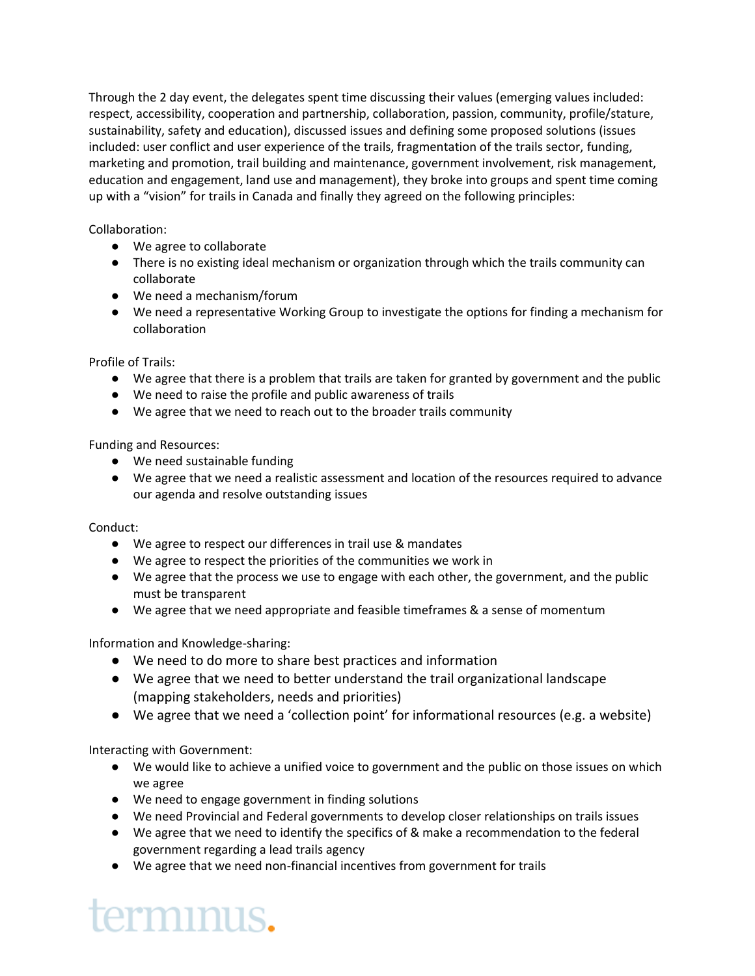Through the 2 day event, the delegates spent time discussing their values (emerging values included: respect, accessibility, cooperation and partnership, collaboration, passion, community, profile/stature, sustainability, safety and education), discussed issues and defining some proposed solutions (issues included: user conflict and user experience of the trails, fragmentation of the trails sector, funding, marketing and promotion, trail building and maintenance, government involvement, risk management, education and engagement, land use and management), they broke into groups and spent time coming up with a "vision" for trails in Canada and finally they agreed on the following principles:

## Collaboration:

- We agree to collaborate
- There is no existing ideal mechanism or organization through which the trails community can collaborate
- We need a mechanism/forum
- We need a representative Working Group to investigate the options for finding a mechanism for collaboration

Profile of Trails:

- We agree that there is a problem that trails are taken for granted by government and the public
- We need to raise the profile and public awareness of trails
- We agree that we need to reach out to the broader trails community

Funding and Resources:

- We need sustainable funding
- We agree that we need a realistic assessment and location of the resources required to advance our agenda and resolve outstanding issues

Conduct:

- We agree to respect our differences in trail use & mandates
- We agree to respect the priorities of the communities we work in
- We agree that the process we use to engage with each other, the government, and the public must be transparent
- We agree that we need appropriate and feasible timeframes & a sense of momentum

Information and Knowledge-sharing:

- We need to do more to share best practices and information
- We agree that we need to better understand the trail organizational landscape (mapping stakeholders, needs and priorities)
- We agree that we need a 'collection point' for informational resources (e.g. a website)

Interacting with Government:

- We would like to achieve a unified voice to government and the public on those issues on which we agree
- We need to engage government in finding solutions
- We need Provincial and Federal governments to develop closer relationships on trails issues
- We agree that we need to identify the specifics of & make a recommendation to the federal government regarding a lead trails agency
- We agree that we need non-financial incentives from government for trails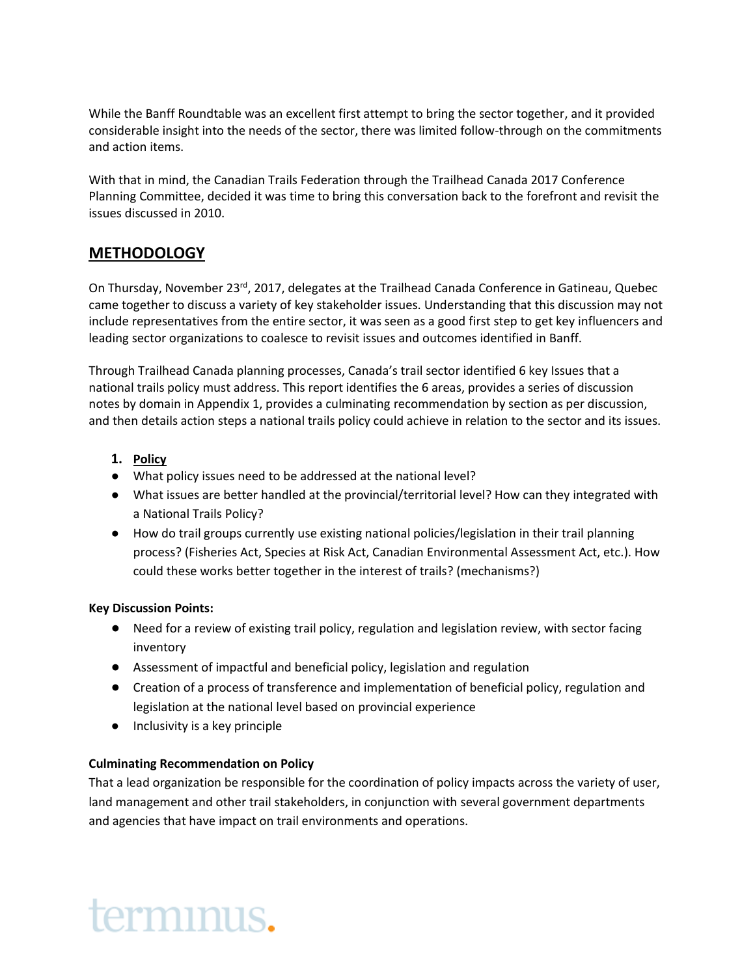While the Banff Roundtable was an excellent first attempt to bring the sector together, and it provided considerable insight into the needs of the sector, there was limited follow-through on the commitments and action items.

With that in mind, the Canadian Trails Federation through the Trailhead Canada 2017 Conference Planning Committee, decided it was time to bring this conversation back to the forefront and revisit the issues discussed in 2010.

## **METHODOLOGY**

On Thursday, November 23<sup>rd</sup>, 2017, delegates at the Trailhead Canada Conference in Gatineau, Quebec came together to discuss a variety of key stakeholder issues. Understanding that this discussion may not include representatives from the entire sector, it was seen as a good first step to get key influencers and leading sector organizations to coalesce to revisit issues and outcomes identified in Banff.

Through Trailhead Canada planning processes, Canada's trail sector identified 6 key Issues that a national trails policy must address. This report identifies the 6 areas, provides a series of discussion notes by domain in Appendix 1, provides a culminating recommendation by section as per discussion, and then details action steps a national trails policy could achieve in relation to the sector and its issues.

## **1. Policy**

- What policy issues need to be addressed at the national level?
- What issues are better handled at the provincial/territorial level? How can they integrated with a National Trails Policy?
- How do trail groups currently use existing national policies/legislation in their trail planning process? (Fisheries Act, Species at Risk Act, Canadian Environmental Assessment Act, etc.). How could these works better together in the interest of trails? (mechanisms?)

## **Key Discussion Points:**

- Need for a review of existing trail policy, regulation and legislation review, with sector facing inventory
- Assessment of impactful and beneficial policy, legislation and regulation
- Creation of a process of transference and implementation of beneficial policy, regulation and legislation at the national level based on provincial experience
- Inclusivity is a key principle

## **Culminating Recommendation on Policy**

terminus.

That a lead organization be responsible for the coordination of policy impacts across the variety of user, land management and other trail stakeholders, in conjunction with several government departments and agencies that have impact on trail environments and operations.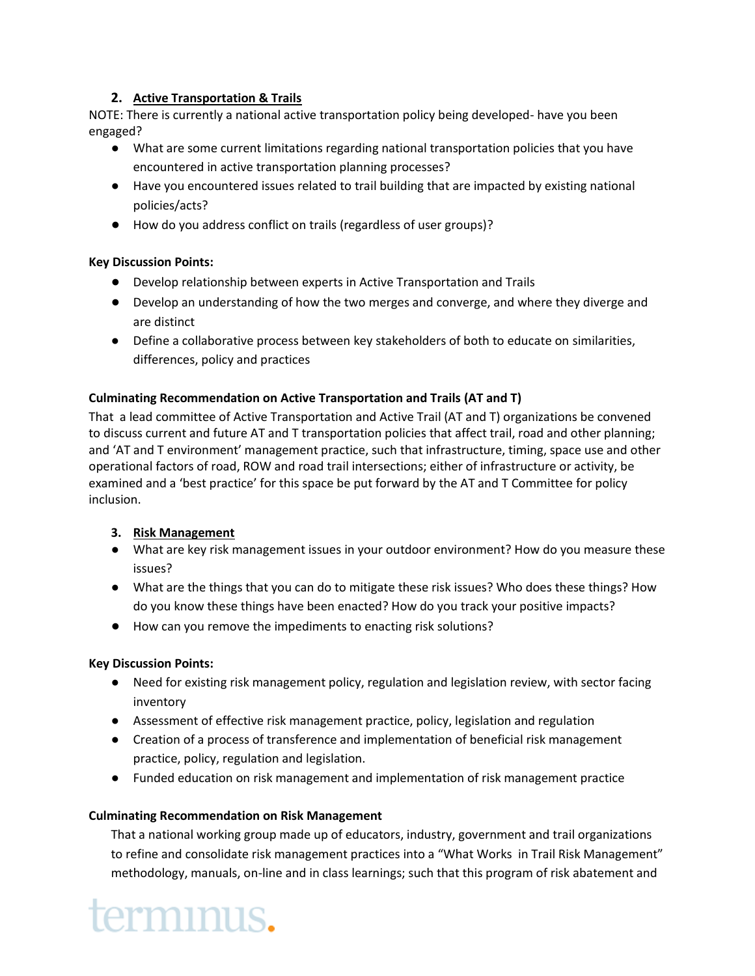## **2. Active Transportation & Trails**

NOTE: There is currently a national active transportation policy being developed- have you been engaged?

- What are some current limitations regarding national transportation policies that you have encountered in active transportation planning processes?
- Have you encountered issues related to trail building that are impacted by existing national policies/acts?
- How do you address conflict on trails (regardless of user groups)?

## **Key Discussion Points:**

- Develop relationship between experts in Active Transportation and Trails
- Develop an understanding of how the two merges and converge, and where they diverge and are distinct
- Define a collaborative process between key stakeholders of both to educate on similarities, differences, policy and practices

## **Culminating Recommendation on Active Transportation and Trails (AT and T)**

That a lead committee of Active Transportation and Active Trail (AT and T) organizations be convened to discuss current and future AT and T transportation policies that affect trail, road and other planning; and 'AT and T environment' management practice, such that infrastructure, timing, space use and other operational factors of road, ROW and road trail intersections; either of infrastructure or activity, be examined and a 'best practice' for this space be put forward by the AT and T Committee for policy inclusion.

## **3. Risk Management**

- What are key risk management issues in your outdoor environment? How do you measure these issues?
- What are the things that you can do to mitigate these risk issues? Who does these things? How do you know these things have been enacted? How do you track your positive impacts?
- How can you remove the impediments to enacting risk solutions?

## **Key Discussion Points:**

- Need for existing risk management policy, regulation and legislation review, with sector facing inventory
- Assessment of effective risk management practice, policy, legislation and regulation
- Creation of a process of transference and implementation of beneficial risk management practice, policy, regulation and legislation.
- Funded education on risk management and implementation of risk management practice

## **Culminating Recommendation on Risk Management**

That a national working group made up of educators, industry, government and trail organizations to refine and consolidate risk management practices into a "What Works in Trail Risk Management" methodology, manuals, on-line and in class learnings; such that this program of risk abatement and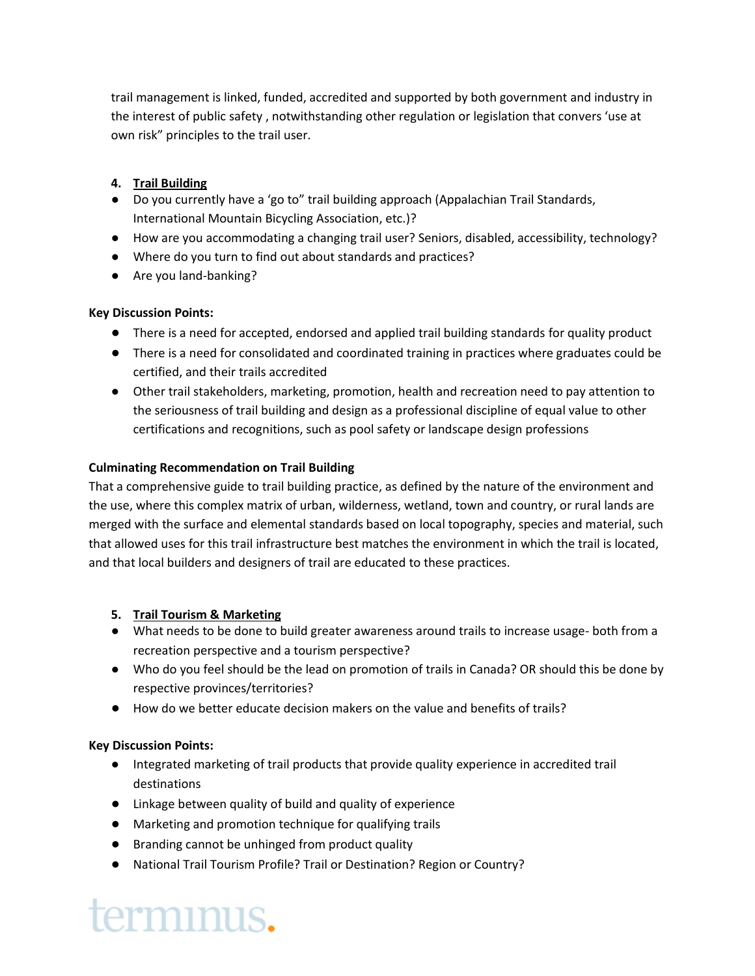trail management is linked, funded, accredited and supported by both government and industry in the interest of public safety , notwithstanding other regulation or legislation that convers 'use at own risk" principles to the trail user.

## **4. Trail Building**

- Do you currently have a 'go to" trail building approach (Appalachian Trail Standards, International Mountain Bicycling Association, etc.)?
- How are you accommodating a changing trail user? Seniors, disabled, accessibility, technology?
- Where do you turn to find out about standards and practices?
- Are you land-banking?

## **Key Discussion Points:**

- There is a need for accepted, endorsed and applied trail building standards for quality product
- There is a need for consolidated and coordinated training in practices where graduates could be certified, and their trails accredited
- Other trail stakeholders, marketing, promotion, health and recreation need to pay attention to the seriousness of trail building and design as a professional discipline of equal value to other certifications and recognitions, such as pool safety or landscape design professions

## **Culminating Recommendation on Trail Building**

That a comprehensive guide to trail building practice, as defined by the nature of the environment and the use, where this complex matrix of urban, wilderness, wetland, town and country, or rural lands are merged with the surface and elemental standards based on local topography, species and material, such that allowed uses for this trail infrastructure best matches the environment in which the trail is located, and that local builders and designers of trail are educated to these practices.

## **5. Trail Tourism & Marketing**

- What needs to be done to build greater awareness around trails to increase usage- both from a recreation perspective and a tourism perspective?
- Who do you feel should be the lead on promotion of trails in Canada? OR should this be done by respective provinces/territories?
- How do we better educate decision makers on the value and benefits of trails?

## **Key Discussion Points:**

- Integrated marketing of trail products that provide quality experience in accredited trail destinations
- Linkage between quality of build and quality of experience
- Marketing and promotion technique for qualifying trails
- Branding cannot be unhinged from product quality
- National Trail Tourism Profile? Trail or Destination? Region or Country?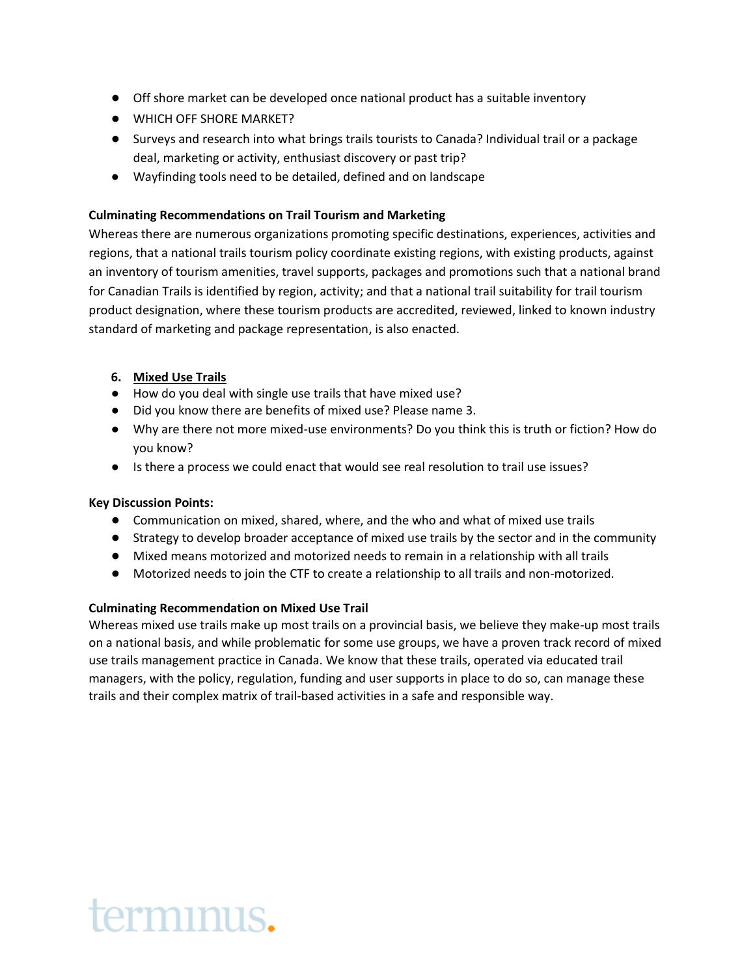- Off shore market can be developed once national product has a suitable inventory
- WHICH OFF SHORE MARKET?
- Surveys and research into what brings trails tourists to Canada? Individual trail or a package deal, marketing or activity, enthusiast discovery or past trip?
- Wayfinding tools need to be detailed, defined and on landscape

## **Culminating Recommendations on Trail Tourism and Marketing**

Whereas there are numerous organizations promoting specific destinations, experiences, activities and regions, that a national trails tourism policy coordinate existing regions, with existing products, against an inventory of tourism amenities, travel supports, packages and promotions such that a national brand for Canadian Trails is identified by region, activity; and that a national trail suitability for trail tourism product designation, where these tourism products are accredited, reviewed, linked to known industry standard of marketing and package representation, is also enacted.

## **6. Mixed Use Trails**

- How do you deal with single use trails that have mixed use?
- Did you know there are benefits of mixed use? Please name 3.
- Why are there not more mixed-use environments? Do you think this is truth or fiction? How do you know?
- Is there a process we could enact that would see real resolution to trail use issues?

## **Key Discussion Points:**

- Communication on mixed, shared, where, and the who and what of mixed use trails
- Strategy to develop broader acceptance of mixed use trails by the sector and in the community
- Mixed means motorized and motorized needs to remain in a relationship with all trails
- Motorized needs to join the CTF to create a relationship to all trails and non-motorized.

## **Culminating Recommendation on Mixed Use Trail**

Whereas mixed use trails make up most trails on a provincial basis, we believe they make-up most trails on a national basis, and while problematic for some use groups, we have a proven track record of mixed use trails management practice in Canada. We know that these trails, operated via educated trail managers, with the policy, regulation, funding and user supports in place to do so, can manage these trails and their complex matrix of trail-based activities in a safe and responsible way.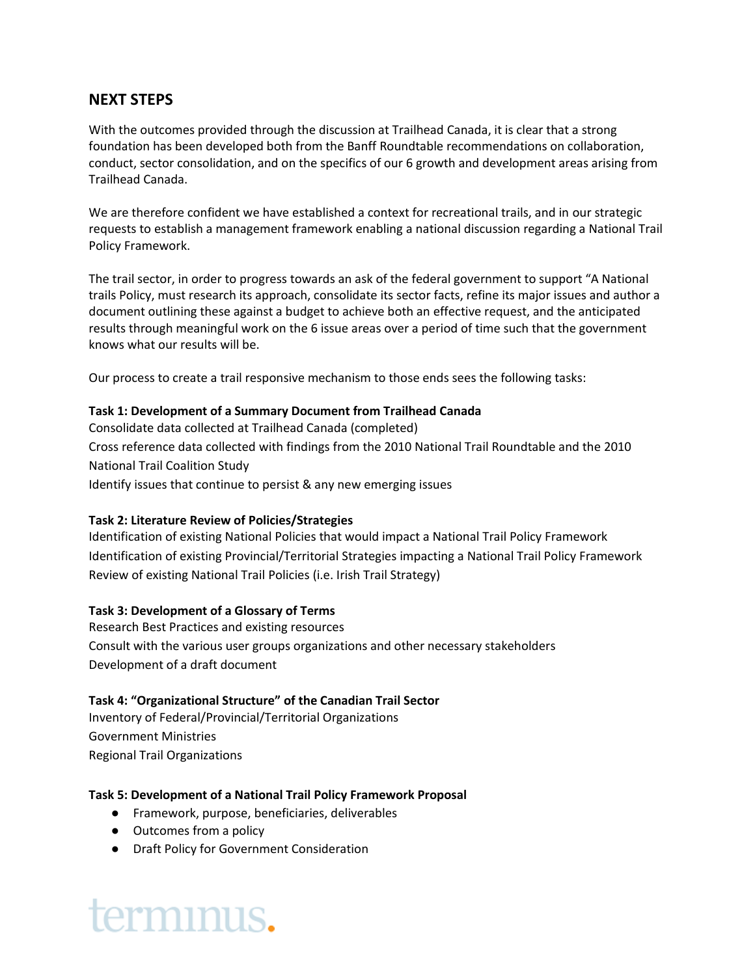## **NEXT STEPS**

With the outcomes provided through the discussion at Trailhead Canada, it is clear that a strong foundation has been developed both from the Banff Roundtable recommendations on collaboration, conduct, sector consolidation, and on the specifics of our 6 growth and development areas arising from Trailhead Canada.

We are therefore confident we have established a context for recreational trails, and in our strategic requests to establish a management framework enabling a national discussion regarding a National Trail Policy Framework.

The trail sector, in order to progress towards an ask of the federal government to support "A National trails Policy, must research its approach, consolidate its sector facts, refine its major issues and author a document outlining these against a budget to achieve both an effective request, and the anticipated results through meaningful work on the 6 issue areas over a period of time such that the government knows what our results will be.

Our process to create a trail responsive mechanism to those ends sees the following tasks:

### **Task 1: Development of a Summary Document from Trailhead Canada**

Consolidate data collected at Trailhead Canada (completed) Cross reference data collected with findings from the 2010 National Trail Roundtable and the 2010 National Trail Coalition Study Identify issues that continue to persist & any new emerging issues

## **Task 2: Literature Review of Policies/Strategies**

Identification of existing National Policies that would impact a National Trail Policy Framework Identification of existing Provincial/Territorial Strategies impacting a National Trail Policy Framework Review of existing National Trail Policies (i.e. Irish Trail Strategy)

## **Task 3: Development of a Glossary of Terms**

Research Best Practices and existing resources Consult with the various user groups organizations and other necessary stakeholders Development of a draft document

## **Task 4: "Organizational Structure" of the Canadian Trail Sector**

Inventory of Federal/Provincial/Territorial Organizations Government Ministries Regional Trail Organizations

### **Task 5: Development of a National Trail Policy Framework Proposal**

- Framework, purpose, beneficiaries, deliverables
- Outcomes from a policy
- Draft Policy for Government Consideration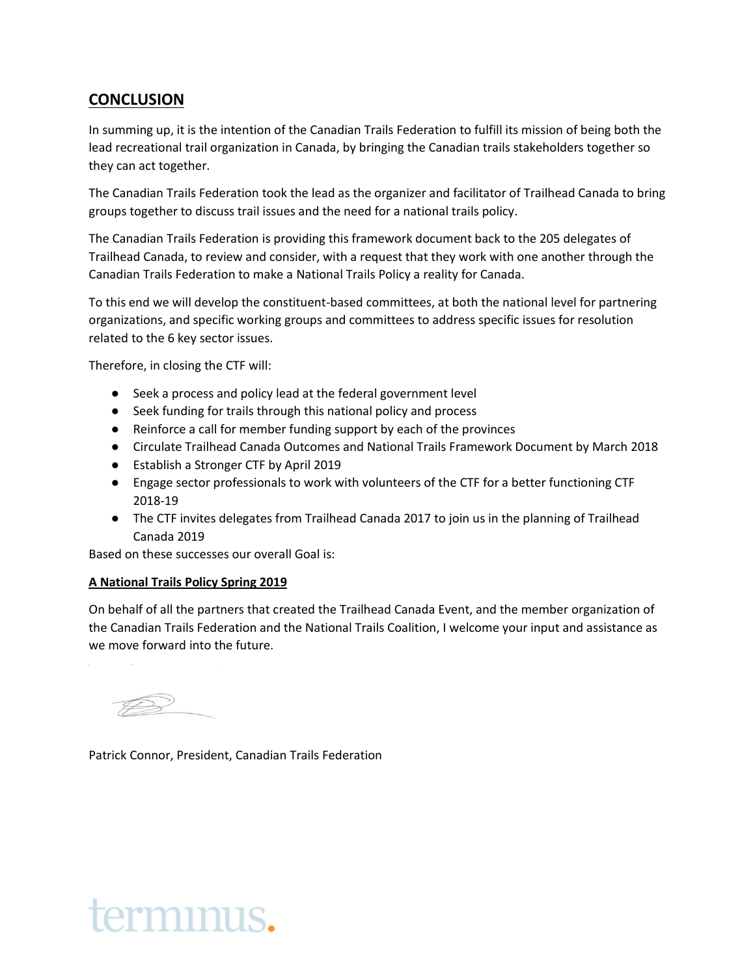## **CONCLUSION**

In summing up, it is the intention of the Canadian Trails Federation to fulfill its mission of being both the lead recreational trail organization in Canada, by bringing the Canadian trails stakeholders together so they can act together.

The Canadian Trails Federation took the lead as the organizer and facilitator of Trailhead Canada to bring groups together to discuss trail issues and the need for a national trails policy.

The Canadian Trails Federation is providing this framework document back to the 205 delegates of Trailhead Canada, to review and consider, with a request that they work with one another through the Canadian Trails Federation to make a National Trails Policy a reality for Canada.

To this end we will develop the constituent-based committees, at both the national level for partnering organizations, and specific working groups and committees to address specific issues for resolution related to the 6 key sector issues.

Therefore, in closing the CTF will:

- Seek a process and policy lead at the federal government level
- Seek funding for trails through this national policy and process
- Reinforce a call for member funding support by each of the provinces
- Circulate Trailhead Canada Outcomes and National Trails Framework Document by March 2018
- Establish a Stronger CTF by April 2019
- Engage sector professionals to work with volunteers of the CTF for a better functioning CTF 2018-19
- The CTF invites delegates from Trailhead Canada 2017 to join us in the planning of Trailhead Canada 2019

Based on these successes our overall Goal is:

## **A National Trails Policy Spring 2019**

On behalf of all the partners that created the Trailhead Canada Event, and the member organization of the Canadian Trails Federation and the National Trails Coalition, I welcome your input and assistance as we move forward into the future.

Patrick Connor, President, Canadian Trails Federation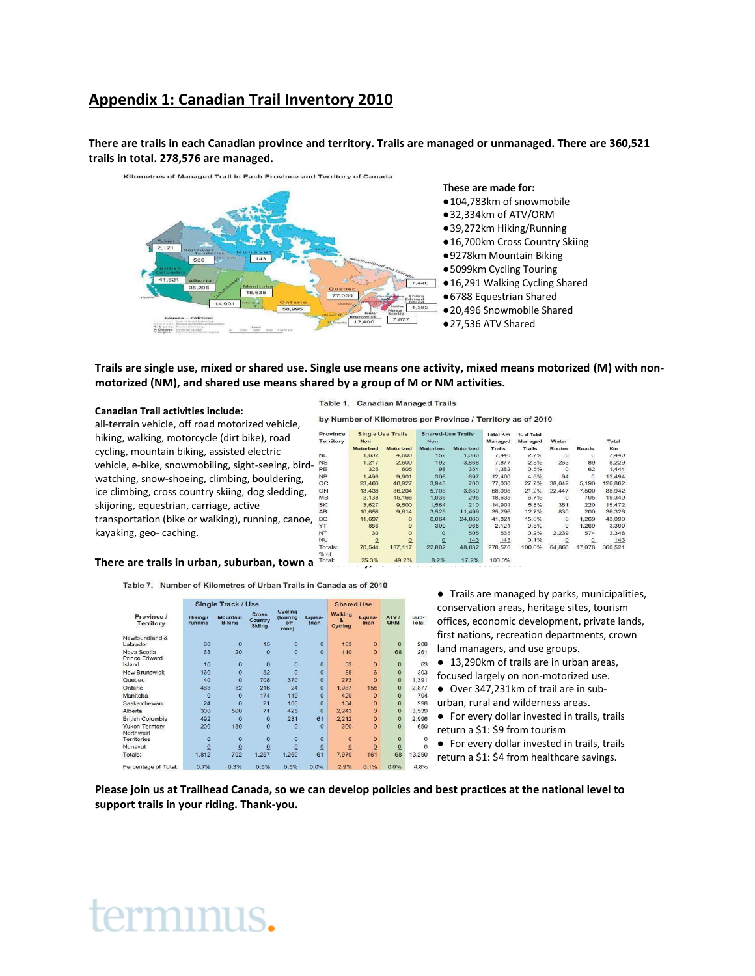## **Appendix 1: Canadian Trail Inventory 2010**

**There are trails in each Canadian province and territory. Trails are managed or unmanaged. There are 360,521 trails in total. 278,576 are managed.**



#### **Trails are single use, mixed or shared use. Single use means one activity, mixed means motorized (M) with nonmotorized (NM), and shared use means shared by a group of M or NM activities.**

#### **Canadian Trail activities include:**

kayaking, geo- caching.

all-terrain vehicle, off road motorized vehicle, hiking, walking, motorcycle (dirt bike), road cycling, mountain biking, assisted electric vehicle, e-bike, snowmobiling, sight-seeing, birdwatching, snow-shoeing, climbing, bouldering, ice climbing, cross country skiing, dog sledding, skijoring, equestrian, carriage, active transportation (bike or walking), running, canoe,

Table 1. Canadian Managed Trails

by Number of Kilometres per Province / Territory as of 2010

| rovince      | <b>Single Use Trails</b> |           | <b>Shared-Use Trails</b> |                  | <b>Total Km</b> | % of Total    |               |              |         |  |
|--------------|--------------------------|-----------|--------------------------|------------------|-----------------|---------------|---------------|--------------|---------|--|
| erritory     | <b>Non</b>               |           | Non                      |                  | Managed         | Managed       | Water         |              | Total   |  |
|              | <b>Motorized</b>         | Motorized | Motorized                | <b>Motorized</b> | Trails          | <b>Trails</b> | <b>Routes</b> | Roads        | Km      |  |
|              | 1.602                    | 4.600     | 152                      | 1.086            | 7,440           | 2.7%          | $\circ$       | $\mathbf{0}$ | 7,440   |  |
| S            | 1.217                    | 2.600     | 192                      | 3.868            | 7.877           | 2.8%          | 263           | 89           | 8,229   |  |
| E            | 325                      | 605       | 98                       | 354              | 1.382           | 0.5%          | $\Omega$      | 62           | 1.444   |  |
| B            | 1,496                    | 9,901     | 306                      | 697              | 12,400          | 4.5%          | 94            | $\Omega$     | 12,494  |  |
| C            | 23,460                   | 48,927    | 3,943                    | 700              | 77,030          | 27.7%         | 38,642        | 5,190        | 120,862 |  |
| N            | 13.438                   | 36.204    | 5.703                    | 3.650            | 58.995          | 21.2%         | 22.447        | 7.500        | 88.942  |  |
| B            | 2.138                    | 15.166    | 1.036                    | 295              | 18,635          | 6.7%          | $\circ$       | 705          | 19,340  |  |
| κ            | 3.627                    | 9,500     | 1,564                    | 210              | 14,901          | 5.3%          | 351           | 220          | 15,472  |  |
| B            | 10,658                   | 9,614     | 3,525                    | 11,499           | 35,296          | 12.7%         | 830           | 200          | 36,326  |  |
| c            | 11.697                   | $\Omega$  | 6.064                    | 24,060           | 41.821          | 15.0%         | $\Omega$      | 1.269        | 43.090  |  |
|              | 856                      | $\Omega$  | 300                      | 965              | 2,121           | 0.8%          | $\Omega$      | 1.269        | 3,390   |  |
|              | 30                       | $\Omega$  | $\Omega$                 | 505              | 535             | 0.2%          | 2.239         | 574          | 3,348   |  |
| Ú            | $\Omega$                 | $\Omega$  | $\Omega$                 | 143              | 143             | 0.1%          | 0             |              | 143     |  |
| otals:<br>of | 70,544                   | 137,117   | 22,882                   | 48,032           | 278,576         | 100.0%        | 64,866        | 17,078       | 360,521 |  |
| otal:        | 25.3%                    | 49.2%     | 8.2%                     | 17.2%            | 100.0%          |               |               |              |         |  |

#### There are trails in urban, suburban, town a

Table 7. Number of Kilometres of Urban Trails in Canada as of 2010

|                                     |                    | <b>Single Track / Use</b>        |                                   |                                                 |                 | <b>Shared Use</b>                         |                 |              |                 |
|-------------------------------------|--------------------|----------------------------------|-----------------------------------|-------------------------------------------------|-----------------|-------------------------------------------|-----------------|--------------|-----------------|
| Province /<br>Territory             | Hiking/<br>running | <b>Mountain</b><br><b>Biking</b> | Cross<br>Country<br><b>Skiing</b> | Cycling<br><i>(touring)</i><br>$-$ off<br>road) | Eques-<br>trian | <b>Walking</b><br>$\mathbf{a}$<br>Cycling | Eques-<br>trian | ATV /<br>ORM | Sub-<br>Total   |
| Newfoundland &                      |                    |                                  |                                   |                                                 |                 |                                           |                 |              |                 |
| Labrador                            | 60                 | $\Omega$                         | 15                                | $\Omega$                                        | $\Omega$        | 133                                       | $\Omega$        | $\Omega$     | 208             |
| Nova Scotia<br><b>Prince Edward</b> | 63                 | 20                               | $\overline{0}$                    | $\Omega$                                        | $\Omega$        | 110                                       | $\Omega$        | 68           | 26 <sup>°</sup> |
| Island                              | 10                 | $\Omega$                         | $\overline{0}$                    | $\overline{0}$                                  | $\Omega$        | 53                                        | $\bf{0}$        | $\Omega$     | 63              |
| <b>New Brunswick</b>                | 160                | $\Omega$                         | 52                                | $\Omega$                                        | $\Omega$        | 85                                        | 6               | $\Omega$     | 303             |
| Quebec                              | 40                 | $\Omega$                         | 708                               | 370                                             | $\Omega$        | 273                                       | $\Omega$        | $\Omega$     | 1.39            |
| Ontario                             | 463                | 32                               | 216                               | 24                                              | $\overline{0}$  | 1.987                                     | 155             | $\mathbf{0}$ | 2.877           |
| Manitoba                            | $\Omega$           | $\Omega$                         | 174                               | 110                                             | $\Omega$        | 420                                       | $\bf{0}$        | $\Omega$     | 70 <sub>4</sub> |
| Saskatchewan                        | 24                 | $\Omega$                         | 21                                | 100                                             | $\Omega$        | 154                                       | $\Omega$        | $\Omega$     | 298             |
| Alberta                             | 300                | 500                              | 71                                | 425                                             | $\Omega$        | 2.243                                     | $\bf{0}$        | $\mathbf{0}$ | 3,539           |
| <b>British Columbia</b>             | 492                | $\Omega$                         | $\Omega$                          | 231                                             | 61              | 2.212                                     | $\Omega$        | $\Omega$     | 2.996           |
| <b>Yukon Territory</b><br>Northwest | 200                | 150                              | $\mathbf{0}$                      | $\Omega$                                        | $\Omega$        | 300                                       | $\bf{0}$        | $\Omega$     | 650             |
| <b>Territories</b>                  | $\mathbf{0}$       | $\Omega$                         | $\mathbf{0}$                      | $\overline{0}$                                  | $\Omega$        | $\mathbf{0}$                              | $\mathbf{0}$    | $\mathbf{0}$ |                 |
| Nunavut                             | $\Omega$           | $\Omega$                         | $\Omega$                          | $\Omega$                                        | $\Omega$        | $\Omega$                                  | $\Omega$        | $\Omega$     |                 |
| Totals:                             | 1,812              | 702                              | 1,257                             | 1,260                                           | 61              | 7,970                                     | 161             | 68           | 13,290          |
| Percentage of Total:                | 0.7%               | 0.3%                             | 0.5%                              | 0.5%                                            | 0.0%            | 2.9%                                      | 0.1%            | 0.0%         | 4.8%            |

● Trails are managed by parks, municipalities, conservation areas, heritage sites, tourism offices, economic development, private lands, first nations, recreation departments, crown land managers, and use groups.

● 13,290km of trails are in urban areas,

focused largely on non-motorized use.

- Over 347,231km of trail are in sub-
- urban, rural and wilderness areas.

● For every dollar invested in trails, trails return a \$1: \$9 from tourism

● For every dollar invested in trails, trails

return a \$1: \$4 from healthcare savings.

**Please join us at Trailhead Canada, so we can develop policies and best practices at the national level to support trails in your riding. Thank-you.**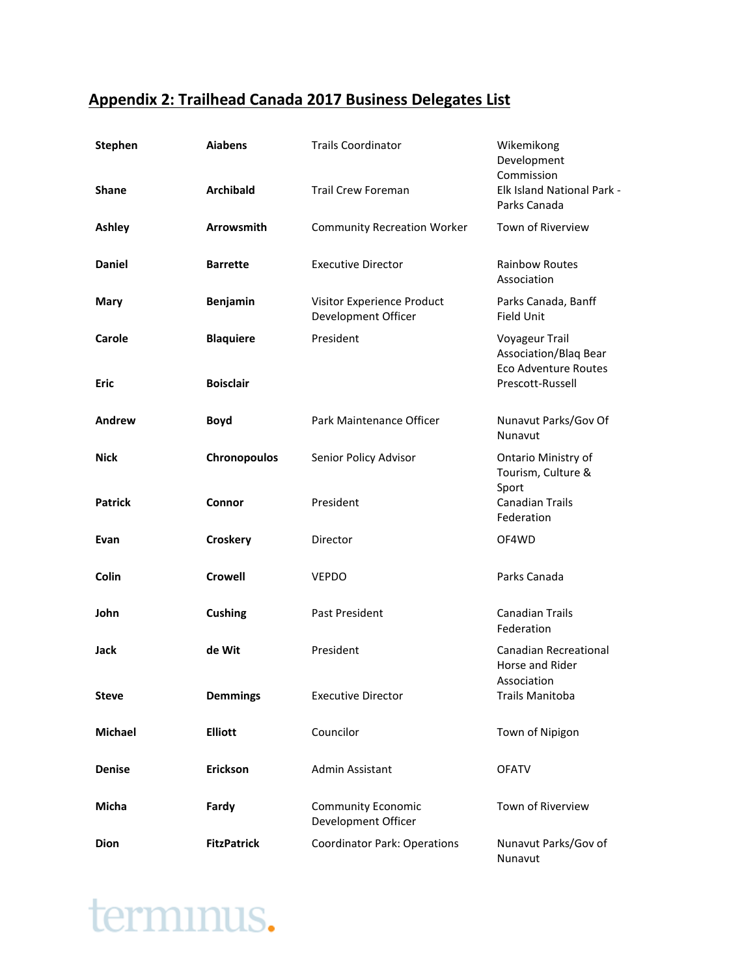## **Appendix 2: Trailhead Canada 2017 Business Delegates List**

| <b>Stephen</b> | <b>Aiabens</b>     | <b>Trails Coordinator</b>                         | Wikemikong<br>Development<br>Commission                                |
|----------------|--------------------|---------------------------------------------------|------------------------------------------------------------------------|
| <b>Shane</b>   | <b>Archibald</b>   | <b>Trail Crew Foreman</b>                         | Elk Island National Park -<br>Parks Canada                             |
| <b>Ashley</b>  | <b>Arrowsmith</b>  | <b>Community Recreation Worker</b>                | Town of Riverview                                                      |
| <b>Daniel</b>  | <b>Barrette</b>    | <b>Executive Director</b>                         | <b>Rainbow Routes</b><br>Association                                   |
| Mary           | <b>Benjamin</b>    | Visitor Experience Product<br>Development Officer | Parks Canada, Banff<br>Field Unit                                      |
| Carole         | <b>Blaquiere</b>   | President                                         | Voyageur Trail<br>Association/Blaq Bear<br><b>Eco Adventure Routes</b> |
| Eric           | <b>Boisclair</b>   |                                                   | Prescott-Russell                                                       |
| Andrew         | <b>Boyd</b>        | Park Maintenance Officer                          | Nunavut Parks/Gov Of<br>Nunavut                                        |
| <b>Nick</b>    | Chronopoulos       | Senior Policy Advisor                             | Ontario Ministry of<br>Tourism, Culture &<br>Sport                     |
| <b>Patrick</b> | Connor             | President                                         | <b>Canadian Trails</b><br>Federation                                   |
| Evan           | Croskery           | Director                                          | OF4WD                                                                  |
| <b>Colin</b>   | <b>Crowell</b>     | <b>VEPDO</b>                                      | Parks Canada                                                           |
| John           | <b>Cushing</b>     | Past President                                    | <b>Canadian Trails</b><br>Federation                                   |
| Jack           | de Wit             | President                                         | <b>Canadian Recreational</b><br>Horse and Rider<br>Association         |
| <b>Steve</b>   | <b>Demmings</b>    | <b>Executive Director</b>                         | <b>Trails Manitoba</b>                                                 |
| <b>Michael</b> | <b>Elliott</b>     | Councilor                                         | Town of Nipigon                                                        |
| <b>Denise</b>  | Erickson           | Admin Assistant                                   | <b>OFATV</b>                                                           |
| Micha          | Fardy              | <b>Community Economic</b><br>Development Officer  | Town of Riverview                                                      |
| <b>Dion</b>    | <b>FitzPatrick</b> | <b>Coordinator Park: Operations</b>               | Nunavut Parks/Gov of<br>Nunavut                                        |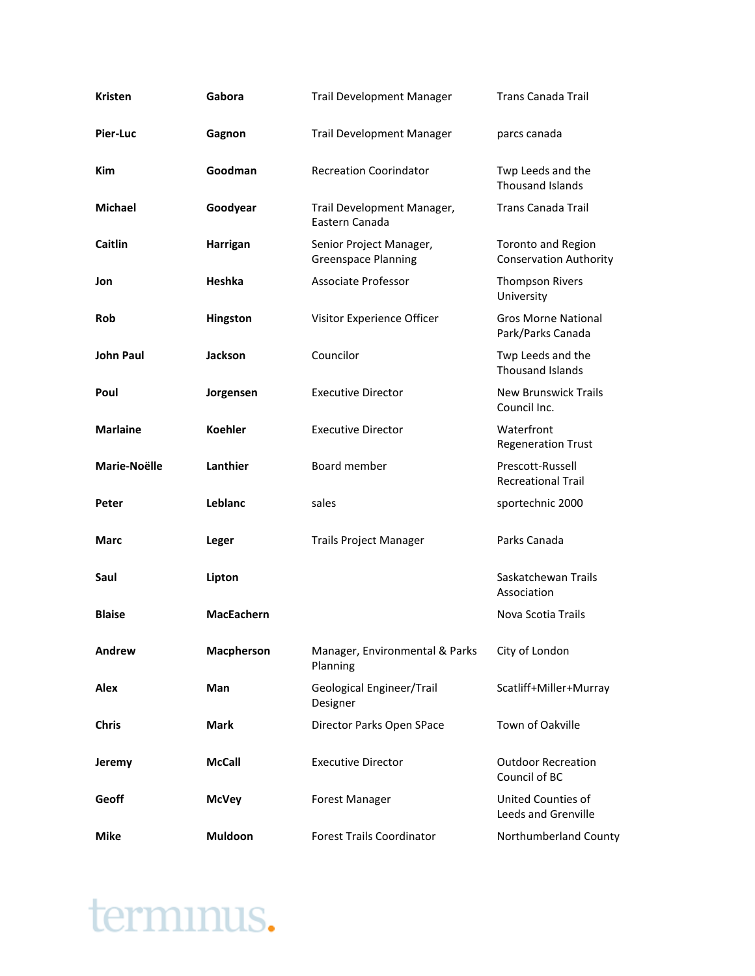| <b>Kristen</b>   | Gabora            | <b>Trail Development Manager</b>                      | <b>Trans Canada Trail</b>                                  |
|------------------|-------------------|-------------------------------------------------------|------------------------------------------------------------|
| Pier-Luc         | Gagnon            | <b>Trail Development Manager</b>                      | parcs canada                                               |
| <b>Kim</b>       | Goodman           | <b>Recreation Coorindator</b>                         | Twp Leeds and the<br>Thousand Islands                      |
| <b>Michael</b>   | Goodyear          | Trail Development Manager,<br>Eastern Canada          | <b>Trans Canada Trail</b>                                  |
| <b>Caitlin</b>   | <b>Harrigan</b>   | Senior Project Manager,<br><b>Greenspace Planning</b> | <b>Toronto and Region</b><br><b>Conservation Authority</b> |
| Jon              | Heshka            | <b>Associate Professor</b>                            | <b>Thompson Rivers</b><br>University                       |
| <b>Rob</b>       | Hingston          | Visitor Experience Officer                            | <b>Gros Morne National</b><br>Park/Parks Canada            |
| <b>John Paul</b> | <b>Jackson</b>    | Councilor                                             | Twp Leeds and the<br><b>Thousand Islands</b>               |
| Poul             | Jorgensen         | <b>Executive Director</b>                             | New Brunswick Trails<br>Council Inc.                       |
| <b>Marlaine</b>  | <b>Koehler</b>    | <b>Executive Director</b>                             | Waterfront<br><b>Regeneration Trust</b>                    |
| Marie-Noëlle     | Lanthier          | Board member                                          | Prescott-Russell<br><b>Recreational Trail</b>              |
| Peter            | Leblanc           | sales                                                 | sportechnic 2000                                           |
| Marc             | Leger             | <b>Trails Project Manager</b>                         | Parks Canada                                               |
| Saul             | Lipton            |                                                       | Saskatchewan Trails<br>Association                         |
| <b>Blaise</b>    | <b>MacEachern</b> |                                                       | Nova Scotia Trails                                         |
| Andrew           | Macpherson        | Manager, Environmental & Parks<br>Planning            | City of London                                             |
| Alex             | Man               | Geological Engineer/Trail<br>Designer                 | Scatliff+Miller+Murray                                     |
| <b>Chris</b>     | <b>Mark</b>       | Director Parks Open SPace                             | Town of Oakville                                           |
| Jeremy           | <b>McCall</b>     | <b>Executive Director</b>                             | <b>Outdoor Recreation</b><br>Council of BC                 |
| Geoff            | <b>McVey</b>      | <b>Forest Manager</b>                                 | United Counties of<br>Leeds and Grenville                  |
| <b>Mike</b>      | <b>Muldoon</b>    | <b>Forest Trails Coordinator</b>                      | Northumberland County                                      |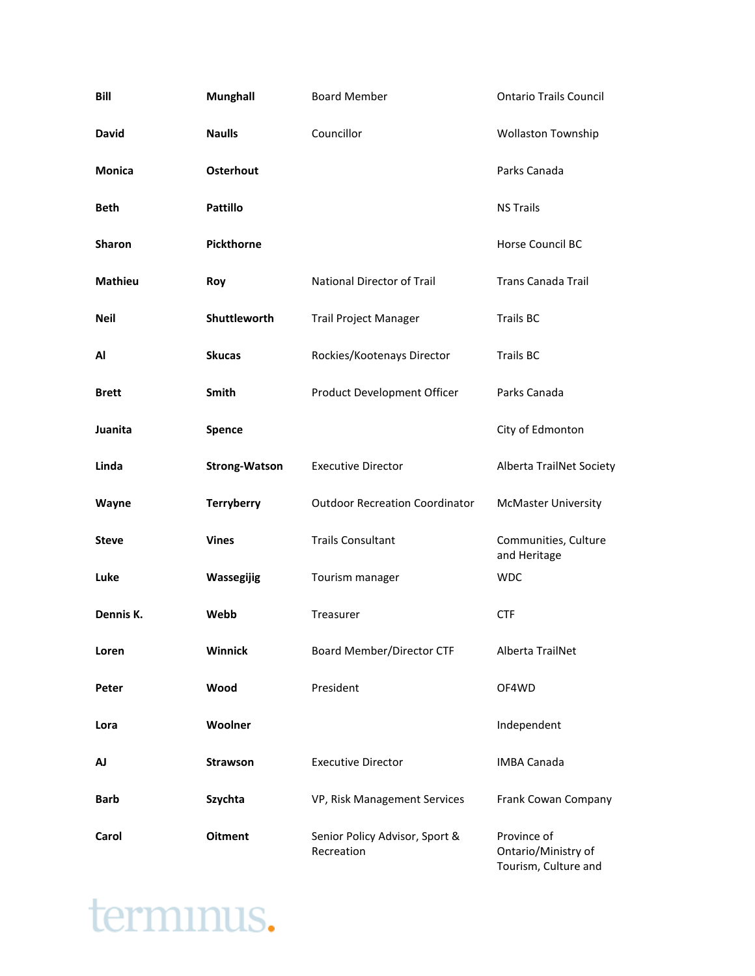| Bill           | <b>Munghall</b>      | <b>Board Member</b>                          | <b>Ontario Trails Council</b>        |
|----------------|----------------------|----------------------------------------------|--------------------------------------|
| <b>David</b>   | <b>Naulls</b>        | Councillor                                   | <b>Wollaston Township</b>            |
| <b>Monica</b>  | <b>Osterhout</b>     |                                              | Parks Canada                         |
| <b>Beth</b>    | <b>Pattillo</b>      |                                              | <b>NS Trails</b>                     |
| Sharon         | <b>Pickthorne</b>    |                                              | Horse Council BC                     |
| <b>Mathieu</b> | Roy                  | National Director of Trail                   | <b>Trans Canada Trail</b>            |
| Neil           | Shuttleworth         | <b>Trail Project Manager</b>                 | <b>Trails BC</b>                     |
| Al             | <b>Skucas</b>        | Rockies/Kootenays Director                   | <b>Trails BC</b>                     |
| <b>Brett</b>   | Smith                | Product Development Officer                  | Parks Canada                         |
| Juanita        | Spence               |                                              | City of Edmonton                     |
| Linda          | <b>Strong-Watson</b> | <b>Executive Director</b>                    | Alberta TrailNet Society             |
| Wayne          | <b>Terryberry</b>    | <b>Outdoor Recreation Coordinator</b>        | <b>McMaster University</b>           |
| <b>Steve</b>   | <b>Vines</b>         | <b>Trails Consultant</b>                     | Communities, Culture<br>and Heritage |
| Luke           | Wassegijig           | Tourism manager                              | <b>WDC</b>                           |
| Dennis K.      | Webb                 | Treasurer                                    | <b>CTF</b>                           |
| Loren          | Winnick              | Board Member/Director CTF                    | Alberta TrailNet                     |
| Peter          | Wood                 | President                                    | OF4WD                                |
| Lora           | Woolner              |                                              | Independent                          |
| AJ             | <b>Strawson</b>      | <b>Executive Director</b>                    | <b>IMBA Canada</b>                   |
| Barb           | Szychta              | VP, Risk Management Services                 | Frank Cowan Company                  |
| Carol          | <b>Oitment</b>       | Senior Policy Advisor, Sport &<br>Recreation | Province of<br>Ontario/Ministry of   |

Tourism, Culture and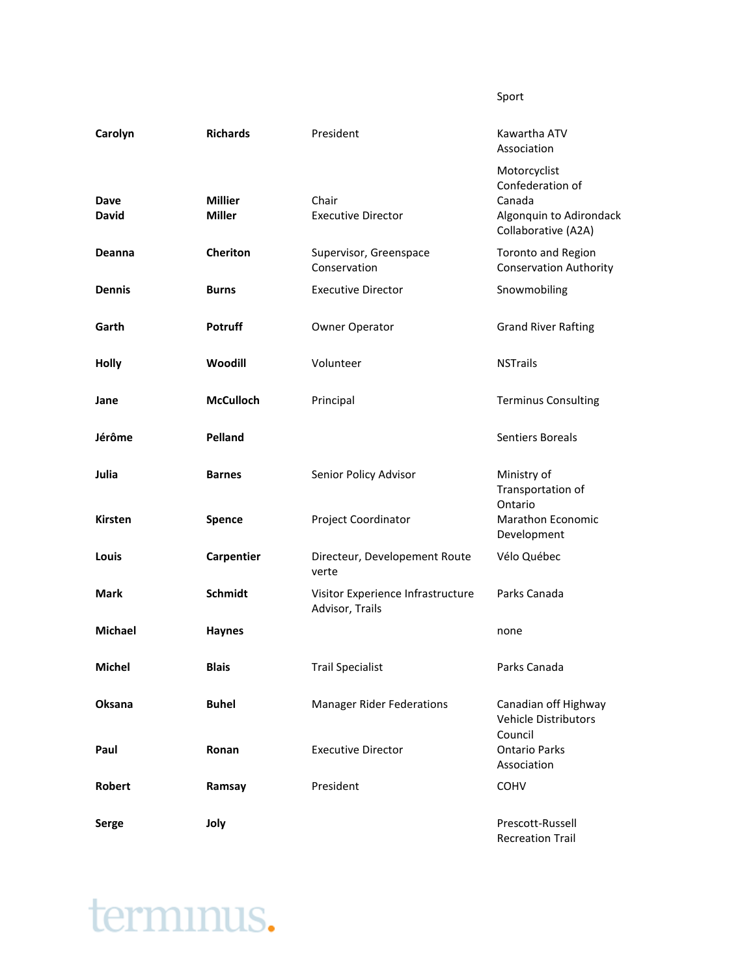Sport

| Carolyn              | <b>Richards</b>                 | President                                            | Kawartha ATV<br>Association                                                                  |
|----------------------|---------------------------------|------------------------------------------------------|----------------------------------------------------------------------------------------------|
| Dave<br><b>David</b> | <b>Millier</b><br><b>Miller</b> | Chair<br><b>Executive Director</b>                   | Motorcyclist<br>Confederation of<br>Canada<br>Algonquin to Adirondack<br>Collaborative (A2A) |
| <b>Deanna</b>        | <b>Cheriton</b>                 | Supervisor, Greenspace<br>Conservation               | <b>Toronto and Region</b><br><b>Conservation Authority</b>                                   |
| <b>Dennis</b>        | <b>Burns</b>                    | <b>Executive Director</b>                            | Snowmobiling                                                                                 |
| Garth                | Potruff                         | Owner Operator                                       | <b>Grand River Rafting</b>                                                                   |
| <b>Holly</b>         | Woodill                         | Volunteer                                            | <b>NSTrails</b>                                                                              |
| Jane                 | <b>McCulloch</b>                | Principal                                            | <b>Terminus Consulting</b>                                                                   |
| Jérôme               | Pelland                         |                                                      | Sentiers Boreals                                                                             |
| Julia                | <b>Barnes</b>                   | Senior Policy Advisor                                | Ministry of<br>Transportation of<br>Ontario                                                  |
| <b>Kirsten</b>       | Spence                          | Project Coordinator                                  | Marathon Economic<br>Development                                                             |
| Louis                | Carpentier                      | Directeur, Developement Route<br>verte               | Vélo Québec                                                                                  |
| Mark                 | Schmidt                         | Visitor Experience Infrastructure<br>Advisor, Trails | Parks Canada                                                                                 |
| <b>Michael</b>       | <b>Haynes</b>                   |                                                      | none                                                                                         |
| Michel               | <b>Blais</b>                    | <b>Trail Specialist</b>                              | Parks Canada                                                                                 |
| Oksana               | <b>Buhel</b>                    | <b>Manager Rider Federations</b>                     | Canadian off Highway<br><b>Vehicle Distributors</b><br>Council                               |
| Paul                 | Ronan                           | <b>Executive Director</b>                            | <b>Ontario Parks</b><br>Association                                                          |
| <b>Robert</b>        | Ramsay                          | President                                            | <b>COHV</b>                                                                                  |
| Serge                | Joly                            |                                                      | Prescott-Russell<br><b>Recreation Trail</b>                                                  |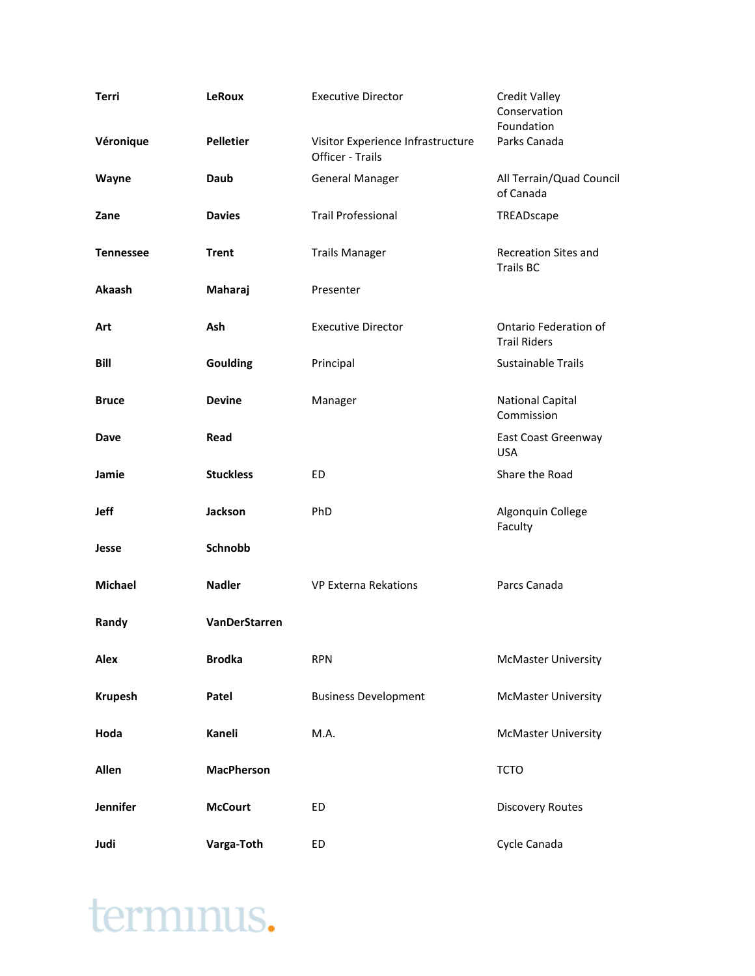| Terri            | <b>LeRoux</b>     | <b>Executive Director</b>                             | <b>Credit Valley</b><br>Conservation<br>Foundation |
|------------------|-------------------|-------------------------------------------------------|----------------------------------------------------|
| Véronique        | <b>Pelletier</b>  | Visitor Experience Infrastructure<br>Officer - Trails | Parks Canada                                       |
| Wayne            | Daub              | <b>General Manager</b>                                | All Terrain/Quad Council<br>of Canada              |
| Zane             | <b>Davies</b>     | <b>Trail Professional</b>                             | TREADscape                                         |
| <b>Tennessee</b> | <b>Trent</b>      | <b>Trails Manager</b>                                 | <b>Recreation Sites and</b><br><b>Trails BC</b>    |
| Akaash           | Maharaj           | Presenter                                             |                                                    |
| Art              | Ash               | <b>Executive Director</b>                             | Ontario Federation of<br><b>Trail Riders</b>       |
| Bill             | Goulding          | Principal                                             | Sustainable Trails                                 |
| <b>Bruce</b>     | <b>Devine</b>     | Manager                                               | <b>National Capital</b><br>Commission              |
| Dave             | Read              |                                                       | East Coast Greenway<br><b>USA</b>                  |
| Jamie            | <b>Stuckless</b>  | ED                                                    | Share the Road                                     |
| Jeff             | Jackson           | PhD                                                   | Algonquin College<br>Faculty                       |
| Jesse            | Schnobb           |                                                       |                                                    |
| <b>Michael</b>   | <b>Nadler</b>     | <b>VP Externa Rekations</b>                           | Parcs Canada                                       |
| Randy            | VanDerStarren     |                                                       |                                                    |
| Alex             | <b>Brodka</b>     | <b>RPN</b>                                            | <b>McMaster University</b>                         |
| <b>Krupesh</b>   | Patel             | <b>Business Development</b>                           | <b>McMaster University</b>                         |
| Hoda             | Kaneli            | M.A.                                                  | <b>McMaster University</b>                         |
| Allen            | <b>MacPherson</b> |                                                       | <b>TCTO</b>                                        |
| Jennifer         | <b>McCourt</b>    | ED                                                    | <b>Discovery Routes</b>                            |
| Judi             | Varga-Toth        | ED                                                    | Cycle Canada                                       |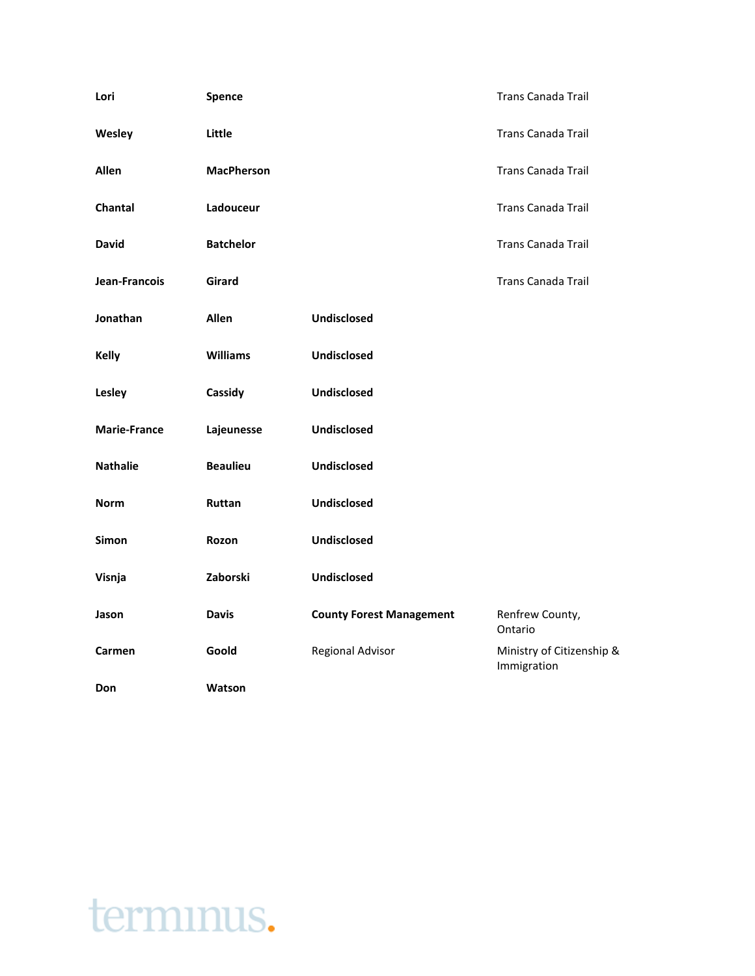| Lori                | Spence            |                                 | <b>Trans Canada Trail</b>                |
|---------------------|-------------------|---------------------------------|------------------------------------------|
| Wesley              | Little            |                                 | <b>Trans Canada Trail</b>                |
| <b>Allen</b>        | <b>MacPherson</b> |                                 | <b>Trans Canada Trail</b>                |
| Chantal             | Ladouceur         |                                 | <b>Trans Canada Trail</b>                |
| <b>David</b>        | <b>Batchelor</b>  |                                 | <b>Trans Canada Trail</b>                |
| Jean-Francois       | Girard            |                                 | <b>Trans Canada Trail</b>                |
| Jonathan            | <b>Allen</b>      | <b>Undisclosed</b>              |                                          |
| <b>Kelly</b>        | <b>Williams</b>   | <b>Undisclosed</b>              |                                          |
| Lesley              | Cassidy           | <b>Undisclosed</b>              |                                          |
| <b>Marie-France</b> | Lajeunesse        | <b>Undisclosed</b>              |                                          |
| <b>Nathalie</b>     | <b>Beaulieu</b>   | <b>Undisclosed</b>              |                                          |
| <b>Norm</b>         | Ruttan            | <b>Undisclosed</b>              |                                          |
| Simon               | Rozon             | <b>Undisclosed</b>              |                                          |
| Visnja              | Zaborski          | <b>Undisclosed</b>              |                                          |
| Jason               | <b>Davis</b>      | <b>County Forest Management</b> | Renfrew County,<br>Ontario               |
| Carmen              | Goold             | Regional Advisor                | Ministry of Citizenship &<br>Immigration |
| Don                 | Watson            |                                 |                                          |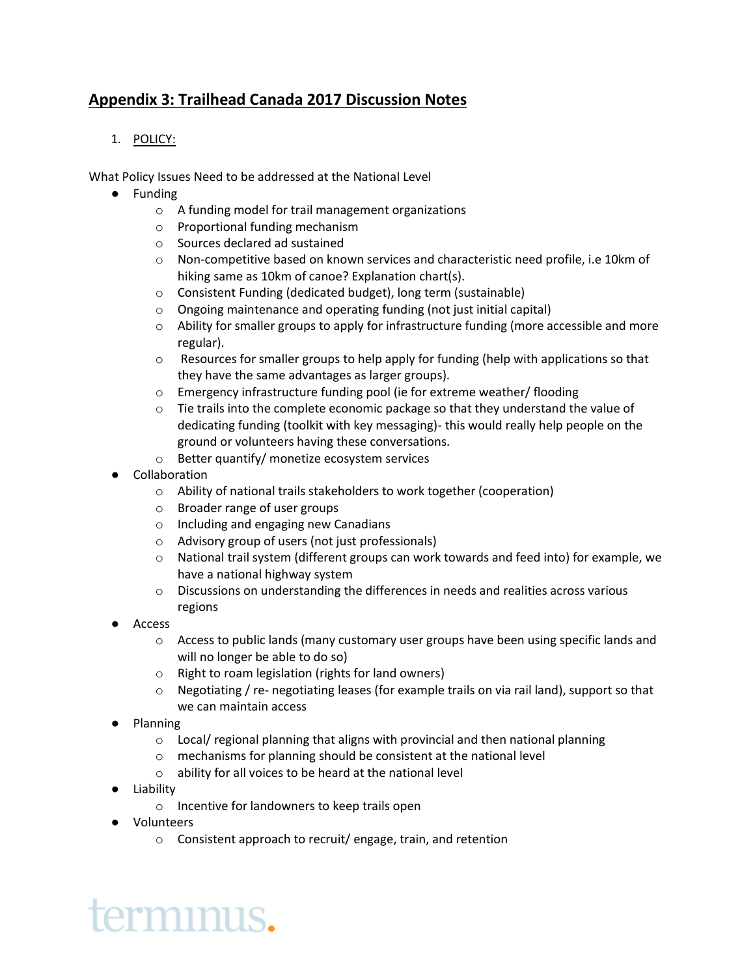## **Appendix 3: Trailhead Canada 2017 Discussion Notes**

## 1. POLICY:

What Policy Issues Need to be addressed at the National Level

- Funding
	- o A funding model for trail management organizations
	- o Proportional funding mechanism
	- o Sources declared ad sustained
	- $\circ$  Non-competitive based on known services and characteristic need profile, i.e 10km of hiking same as 10km of canoe? Explanation chart(s).
	- o Consistent Funding (dedicated budget), long term (sustainable)
	- o Ongoing maintenance and operating funding (not just initial capital)
	- $\circ$  Ability for smaller groups to apply for infrastructure funding (more accessible and more regular).
	- $\circ$  Resources for smaller groups to help apply for funding (help with applications so that they have the same advantages as larger groups).
	- o Emergency infrastructure funding pool (ie for extreme weather/ flooding
	- $\circ$  Tie trails into the complete economic package so that they understand the value of dedicating funding (toolkit with key messaging)- this would really help people on the ground or volunteers having these conversations.
	- o Better quantify/ monetize ecosystem services
- Collaboration
	- o Ability of national trails stakeholders to work together (cooperation)
	- o Broader range of user groups
	- o Including and engaging new Canadians
	- o Advisory group of users (not just professionals)
	- o National trail system (different groups can work towards and feed into) for example, we have a national highway system
	- $\circ$  Discussions on understanding the differences in needs and realities across various regions
- Access
	- o Access to public lands (many customary user groups have been using specific lands and will no longer be able to do so)
	- o Right to roam legislation (rights for land owners)
	- $\circ$  Negotiating / re- negotiating leases (for example trails on via rail land), support so that we can maintain access
- **Planning** 
	- $\circ$  Local/ regional planning that aligns with provincial and then national planning
	- o mechanisms for planning should be consistent at the national level
	- o ability for all voices to be heard at the national level
- Liability
	- o Incentive for landowners to keep trails open
- Volunteers

erminus.

o Consistent approach to recruit/ engage, train, and retention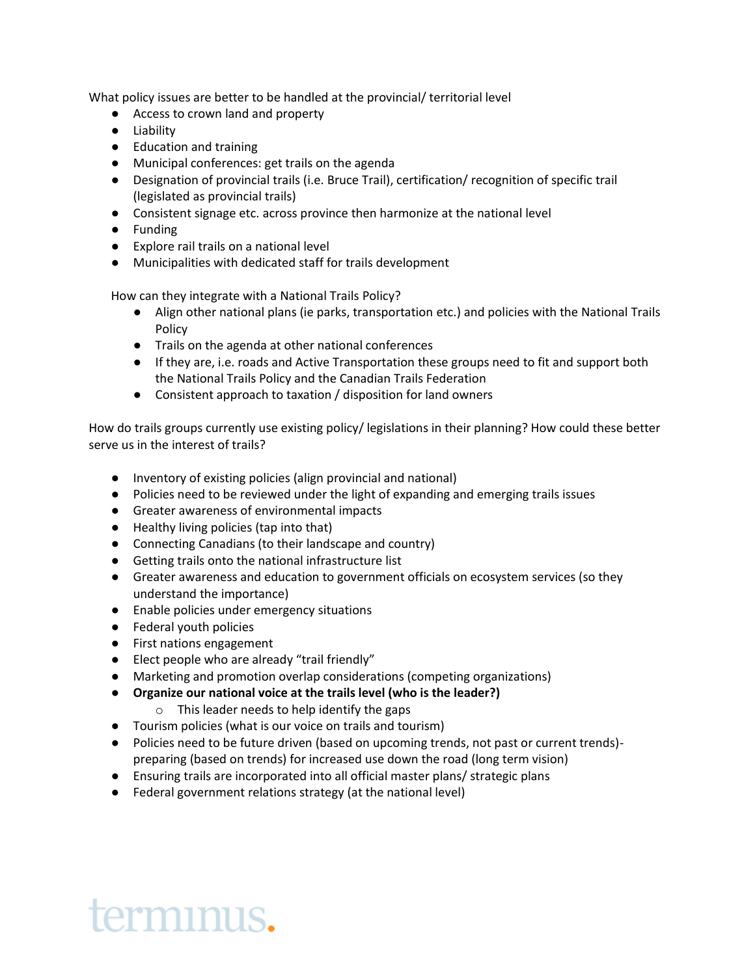What policy issues are better to be handled at the provincial/ territorial level

- Access to crown land and property
- Liability
- Education and training
- Municipal conferences: get trails on the agenda
- Designation of provincial trails (i.e. Bruce Trail), certification/ recognition of specific trail (legislated as provincial trails)
- Consistent signage etc. across province then harmonize at the national level
- Funding
- Explore rail trails on a national level
- Municipalities with dedicated staff for trails development

How can they integrate with a National Trails Policy?

- Align other national plans (ie parks, transportation etc.) and policies with the National Trails Policy
- Trails on the agenda at other national conferences
- If they are, i.e. roads and Active Transportation these groups need to fit and support both the National Trails Policy and the Canadian Trails Federation
- Consistent approach to taxation / disposition for land owners

How do trails groups currently use existing policy/ legislations in their planning? How could these better serve us in the interest of trails?

- Inventory of existing policies (align provincial and national)
- Policies need to be reviewed under the light of expanding and emerging trails issues
- Greater awareness of environmental impacts
- Healthy living policies (tap into that)
- Connecting Canadians (to their landscape and country)
- Getting trails onto the national infrastructure list
- Greater awareness and education to government officials on ecosystem services (so they understand the importance)
- Enable policies under emergency situations
- Federal youth policies
- First nations engagement
- Elect people who are already "trail friendly"
- Marketing and promotion overlap considerations (competing organizations)
- **Organize our national voice at the trails level (who is the leader?)**
	- o This leader needs to help identify the gaps
- Tourism policies (what is our voice on trails and tourism)
- Policies need to be future driven (based on upcoming trends, not past or current trends)preparing (based on trends) for increased use down the road (long term vision)
- Ensuring trails are incorporated into all official master plans/ strategic plans
- Federal government relations strategy (at the national level)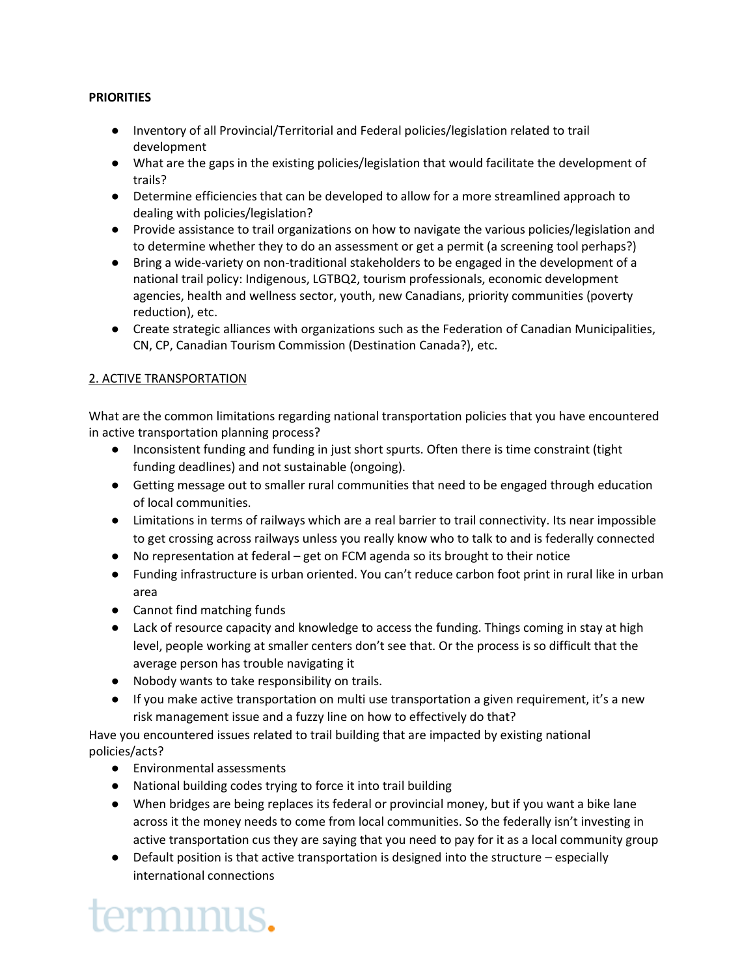## **PRIORITIES**

- Inventory of all Provincial/Territorial and Federal policies/legislation related to trail development
- What are the gaps in the existing policies/legislation that would facilitate the development of trails?
- Determine efficiencies that can be developed to allow for a more streamlined approach to dealing with policies/legislation?
- Provide assistance to trail organizations on how to navigate the various policies/legislation and to determine whether they to do an assessment or get a permit (a screening tool perhaps?)
- Bring a wide-variety on non-traditional stakeholders to be engaged in the development of a national trail policy: Indigenous, LGTBQ2, tourism professionals, economic development agencies, health and wellness sector, youth, new Canadians, priority communities (poverty reduction), etc.
- Create strategic alliances with organizations such as the Federation of Canadian Municipalities, CN, CP, Canadian Tourism Commission (Destination Canada?), etc.

## 2. ACTIVE TRANSPORTATION

What are the common limitations regarding national transportation policies that you have encountered in active transportation planning process?

- Inconsistent funding and funding in just short spurts. Often there is time constraint (tight funding deadlines) and not sustainable (ongoing).
- Getting message out to smaller rural communities that need to be engaged through education of local communities.
- Limitations in terms of railways which are a real barrier to trail connectivity. Its near impossible to get crossing across railways unless you really know who to talk to and is federally connected
- No representation at federal get on FCM agenda so its brought to their notice
- Funding infrastructure is urban oriented. You can't reduce carbon foot print in rural like in urban area
- Cannot find matching funds
- Lack of resource capacity and knowledge to access the funding. Things coming in stay at high level, people working at smaller centers don't see that. Or the process is so difficult that the average person has trouble navigating it
- Nobody wants to take responsibility on trails.
- If you make active transportation on multi use transportation a given requirement, it's a new risk management issue and a fuzzy line on how to effectively do that?

Have you encountered issues related to trail building that are impacted by existing national policies/acts?

- Environmental assessments
- National building codes trying to force it into trail building
- When bridges are being replaces its federal or provincial money, but if you want a bike lane across it the money needs to come from local communities. So the federally isn't investing in active transportation cus they are saying that you need to pay for it as a local community group
- Default position is that active transportation is designed into the structure especially international connections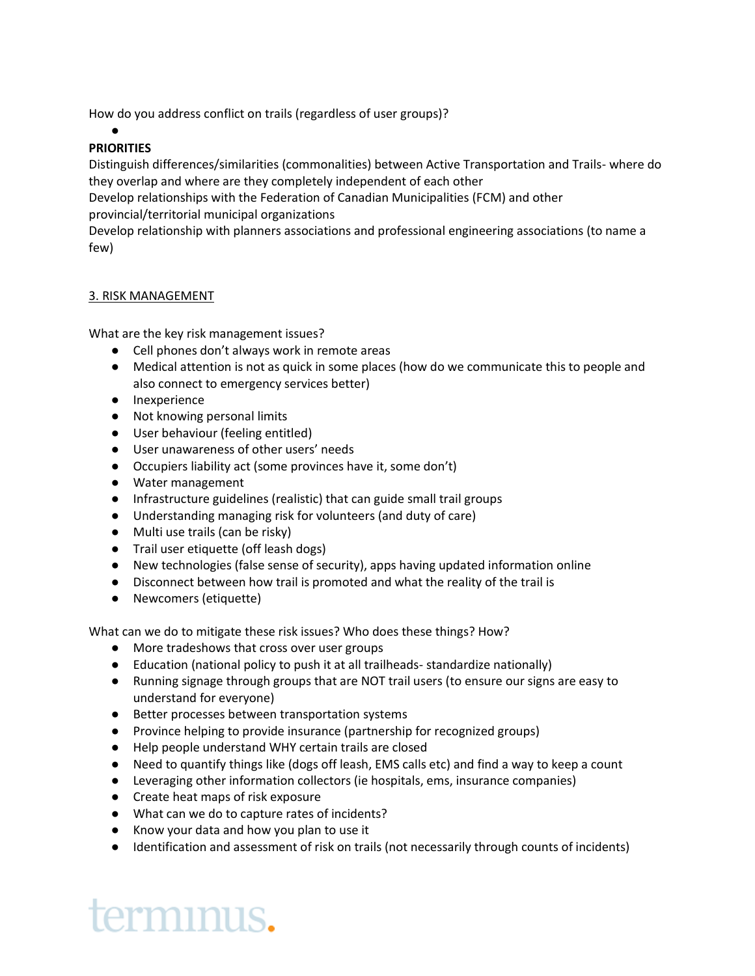How do you address conflict on trails (regardless of user groups)?

### ● **PRIORITIES**

Distinguish differences/similarities (commonalities) between Active Transportation and Trails- where do they overlap and where are they completely independent of each other

Develop relationships with the Federation of Canadian Municipalities (FCM) and other provincial/territorial municipal organizations

Develop relationship with planners associations and professional engineering associations (to name a few)

## 3. RISK MANAGEMENT

What are the key risk management issues?

- Cell phones don't always work in remote areas
- Medical attention is not as quick in some places (how do we communicate this to people and also connect to emergency services better)
- Inexperience
- Not knowing personal limits
- User behaviour (feeling entitled)
- User unawareness of other users' needs
- Occupiers liability act (some provinces have it, some don't)
- Water management
- Infrastructure guidelines (realistic) that can guide small trail groups
- Understanding managing risk for volunteers (and duty of care)
- Multi use trails (can be risky)
- Trail user etiquette (off leash dogs)
- New technologies (false sense of security), apps having updated information online
- Disconnect between how trail is promoted and what the reality of the trail is
- Newcomers (etiquette)

What can we do to mitigate these risk issues? Who does these things? How?

- More tradeshows that cross over user groups
- Education (national policy to push it at all trailheads- standardize nationally)
- Running signage through groups that are NOT trail users (to ensure our signs are easy to understand for everyone)
- Better processes between transportation systems
- Province helping to provide insurance (partnership for recognized groups)
- Help people understand WHY certain trails are closed
- Need to quantify things like (dogs off leash, EMS calls etc) and find a way to keep a count
- Leveraging other information collectors (ie hospitals, ems, insurance companies)
- Create heat maps of risk exposure
- What can we do to capture rates of incidents?
- Know your data and how you plan to use it
- Identification and assessment of risk on trails (not necessarily through counts of incidents)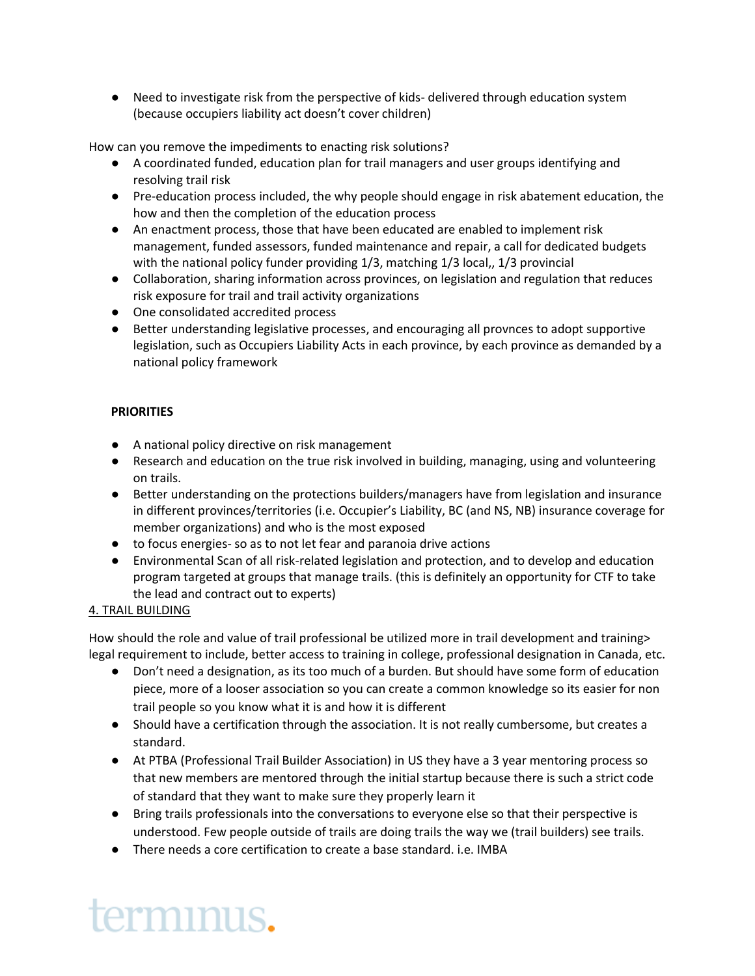● Need to investigate risk from the perspective of kids- delivered through education system (because occupiers liability act doesn't cover children)

How can you remove the impediments to enacting risk solutions?

- A coordinated funded, education plan for trail managers and user groups identifying and resolving trail risk
- Pre-education process included, the why people should engage in risk abatement education, the how and then the completion of the education process
- An enactment process, those that have been educated are enabled to implement risk management, funded assessors, funded maintenance and repair, a call for dedicated budgets with the national policy funder providing 1/3, matching 1/3 local,, 1/3 provincial
- Collaboration, sharing information across provinces, on legislation and regulation that reduces risk exposure for trail and trail activity organizations
- One consolidated accredited process
- Better understanding legislative processes, and encouraging all provnces to adopt supportive legislation, such as Occupiers Liability Acts in each province, by each province as demanded by a national policy framework

## **PRIORITIES**

- A national policy directive on risk management
- Research and education on the true risk involved in building, managing, using and volunteering on trails.
- Better understanding on the protections builders/managers have from legislation and insurance in different provinces/territories (i.e. Occupier's Liability, BC (and NS, NB) insurance coverage for member organizations) and who is the most exposed
- to focus energies- so as to not let fear and paranoia drive actions
- Environmental Scan of all risk-related legislation and protection, and to develop and education program targeted at groups that manage trails. (this is definitely an opportunity for CTF to take the lead and contract out to experts)

## 4. TRAIL BUILDING

How should the role and value of trail professional be utilized more in trail development and training> legal requirement to include, better access to training in college, professional designation in Canada, etc.

- Don't need a designation, as its too much of a burden. But should have some form of education piece, more of a looser association so you can create a common knowledge so its easier for non trail people so you know what it is and how it is different
- Should have a certification through the association. It is not really cumbersome, but creates a standard.
- At PTBA (Professional Trail Builder Association) in US they have a 3 year mentoring process so that new members are mentored through the initial startup because there is such a strict code of standard that they want to make sure they properly learn it
- Bring trails professionals into the conversations to everyone else so that their perspective is understood. Few people outside of trails are doing trails the way we (trail builders) see trails.
- There needs a core certification to create a base standard. i.e. IMBA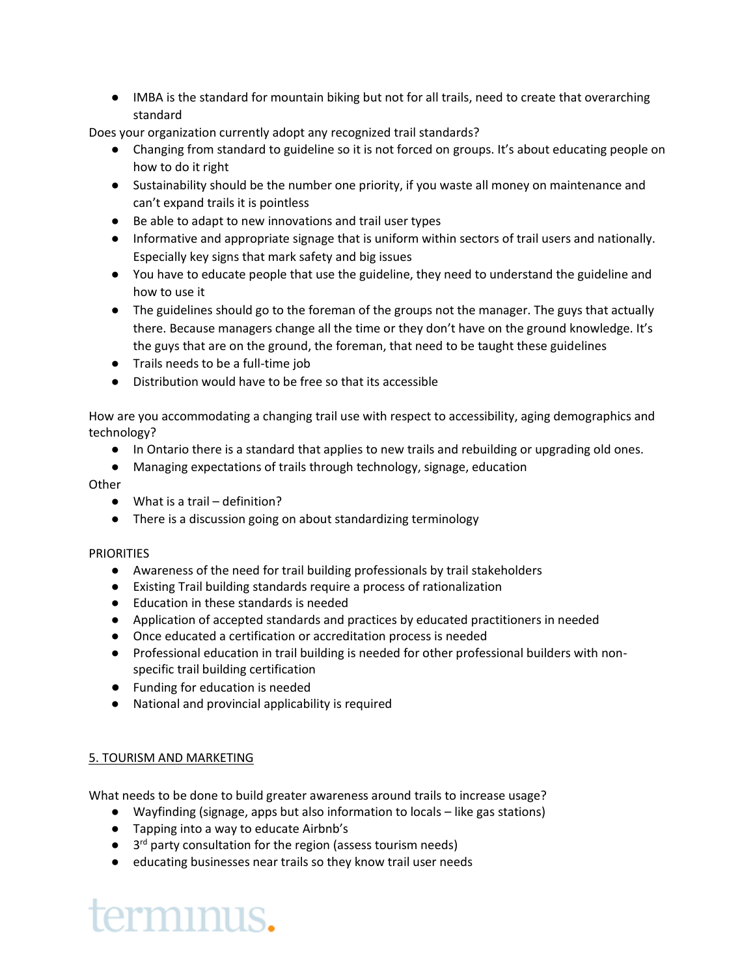● IMBA is the standard for mountain biking but not for all trails, need to create that overarching standard

Does your organization currently adopt any recognized trail standards?

- Changing from standard to guideline so it is not forced on groups. It's about educating people on how to do it right
- Sustainability should be the number one priority, if you waste all money on maintenance and can't expand trails it is pointless
- Be able to adapt to new innovations and trail user types
- Informative and appropriate signage that is uniform within sectors of trail users and nationally. Especially key signs that mark safety and big issues
- You have to educate people that use the guideline, they need to understand the guideline and how to use it
- The guidelines should go to the foreman of the groups not the manager. The guys that actually there. Because managers change all the time or they don't have on the ground knowledge. It's the guys that are on the ground, the foreman, that need to be taught these guidelines
- Trails needs to be a full-time job
- Distribution would have to be free so that its accessible

How are you accommodating a changing trail use with respect to accessibility, aging demographics and technology?

- In Ontario there is a standard that applies to new trails and rebuilding or upgrading old ones.
- Managing expectations of trails through technology, signage, education

## Other

- What is a trail definition?
- There is a discussion going on about standardizing terminology

### PRIORITIES

- Awareness of the need for trail building professionals by trail stakeholders
- Existing Trail building standards require a process of rationalization
- Education in these standards is needed
- Application of accepted standards and practices by educated practitioners in needed
- Once educated a certification or accreditation process is needed
- Professional education in trail building is needed for other professional builders with nonspecific trail building certification
- Funding for education is needed
- National and provincial applicability is required

## 5. TOURISM AND MARKETING

What needs to be done to build greater awareness around trails to increase usage?

- Wayfinding (signage, apps but also information to locals like gas stations)
- Tapping into a way to educate Airbnb's
- 3<sup>rd</sup> party consultation for the region (assess tourism needs)
- educating businesses near trails so they know trail user needs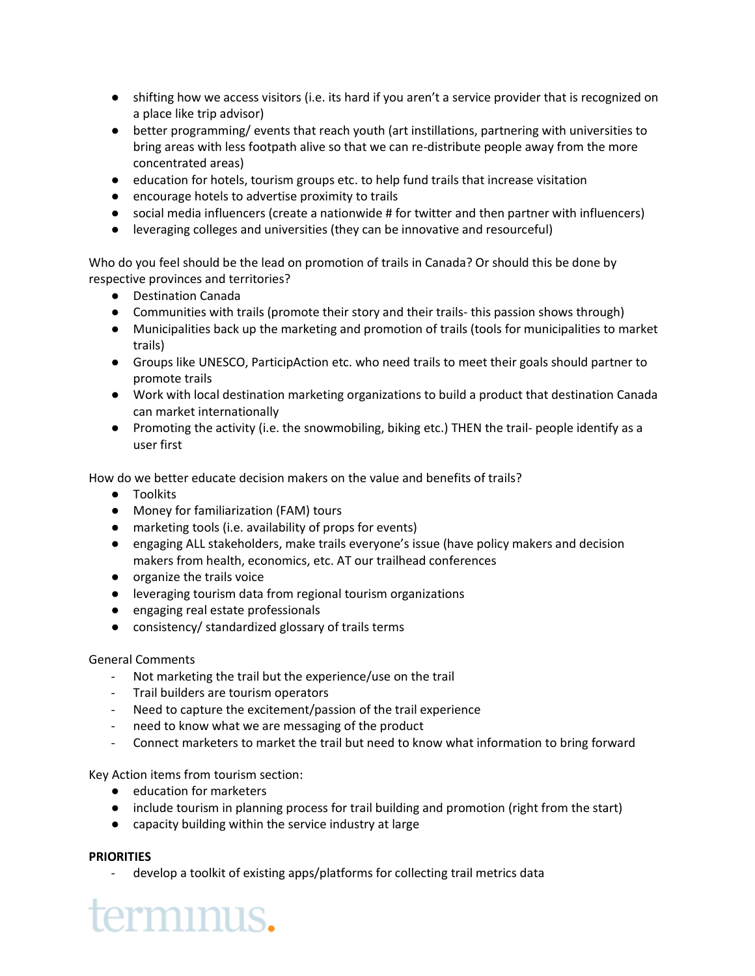- shifting how we access visitors (i.e. its hard if you aren't a service provider that is recognized on a place like trip advisor)
- better programming/ events that reach youth (art instillations, partnering with universities to bring areas with less footpath alive so that we can re-distribute people away from the more concentrated areas)
- education for hotels, tourism groups etc. to help fund trails that increase visitation
- encourage hotels to advertise proximity to trails
- social media influencers (create a nationwide # for twitter and then partner with influencers)
- leveraging colleges and universities (they can be innovative and resourceful)

Who do you feel should be the lead on promotion of trails in Canada? Or should this be done by respective provinces and territories?

- Destination Canada
- Communities with trails (promote their story and their trails-this passion shows through)
- Municipalities back up the marketing and promotion of trails (tools for municipalities to market trails)
- Groups like UNESCO, ParticipAction etc. who need trails to meet their goals should partner to promote trails
- Work with local destination marketing organizations to build a product that destination Canada can market internationally
- Promoting the activity (i.e. the snowmobiling, biking etc.) THEN the trail- people identify as a user first

How do we better educate decision makers on the value and benefits of trails?

- Toolkits
- Money for familiarization (FAM) tours
- marketing tools (i.e. availability of props for events)
- engaging ALL stakeholders, make trails everyone's issue (have policy makers and decision makers from health, economics, etc. AT our trailhead conferences
- organize the trails voice
- leveraging tourism data from regional tourism organizations
- engaging real estate professionals
- consistency/ standardized glossary of trails terms

## General Comments

- Not marketing the trail but the experience/use on the trail
- Trail builders are tourism operators
- Need to capture the excitement/passion of the trail experience
- need to know what we are messaging of the product
- Connect marketers to market the trail but need to know what information to bring forward

Key Action items from tourism section:

● education for marketers

terminus.

- include tourism in planning process for trail building and promotion (right from the start)
- capacity building within the service industry at large

## **PRIORITIES**

- develop a toolkit of existing apps/platforms for collecting trail metrics data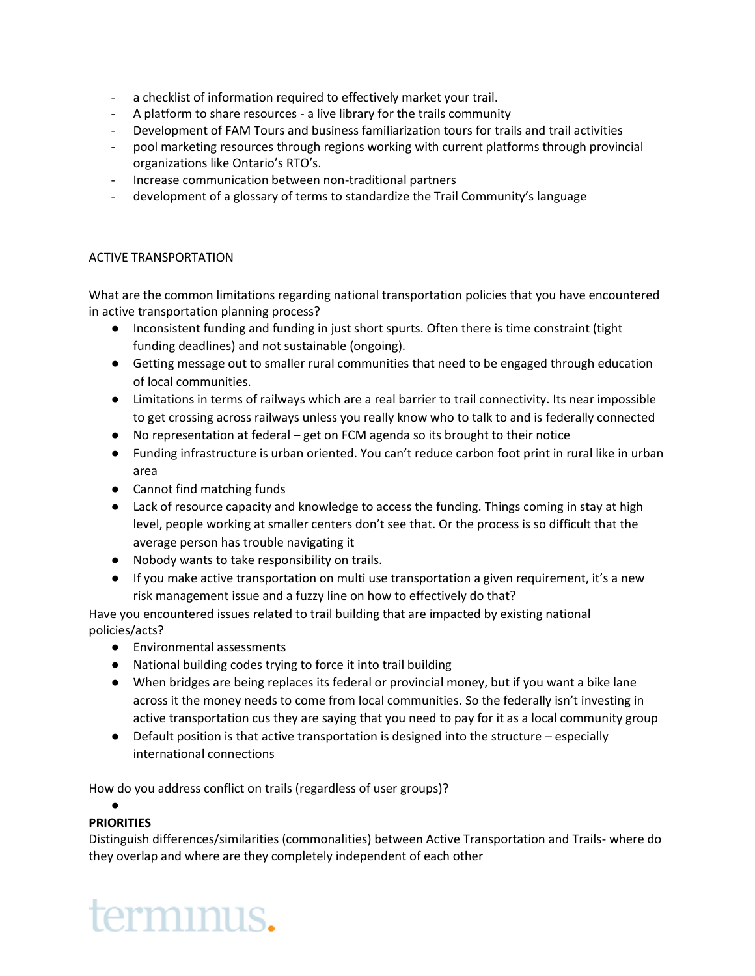- a checklist of information required to effectively market your trail.
- A platform to share resources a live library for the trails community
- Development of FAM Tours and business familiarization tours for trails and trail activities
- pool marketing resources through regions working with current platforms through provincial organizations like Ontario's RTO's.
- Increase communication between non-traditional partners
- development of a glossary of terms to standardize the Trail Community's language

## ACTIVE TRANSPORTATION

What are the common limitations regarding national transportation policies that you have encountered in active transportation planning process?

- Inconsistent funding and funding in just short spurts. Often there is time constraint (tight funding deadlines) and not sustainable (ongoing).
- Getting message out to smaller rural communities that need to be engaged through education of local communities.
- Limitations in terms of railways which are a real barrier to trail connectivity. Its near impossible to get crossing across railways unless you really know who to talk to and is federally connected
- No representation at federal get on FCM agenda so its brought to their notice
- Funding infrastructure is urban oriented. You can't reduce carbon foot print in rural like in urban area
- Cannot find matching funds
- Lack of resource capacity and knowledge to access the funding. Things coming in stay at high level, people working at smaller centers don't see that. Or the process is so difficult that the average person has trouble navigating it
- Nobody wants to take responsibility on trails.
- If you make active transportation on multi use transportation a given requirement, it's a new risk management issue and a fuzzy line on how to effectively do that?

Have you encountered issues related to trail building that are impacted by existing national policies/acts?

- Environmental assessments
- National building codes trying to force it into trail building
- When bridges are being replaces its federal or provincial money, but if you want a bike lane across it the money needs to come from local communities. So the federally isn't investing in active transportation cus they are saying that you need to pay for it as a local community group
- Default position is that active transportation is designed into the structure especially international connections

How do you address conflict on trails (regardless of user groups)?

### $\bullet$ **PRIORITIES**

Distinguish differences/similarities (commonalities) between Active Transportation and Trails- where do they overlap and where are they completely independent of each other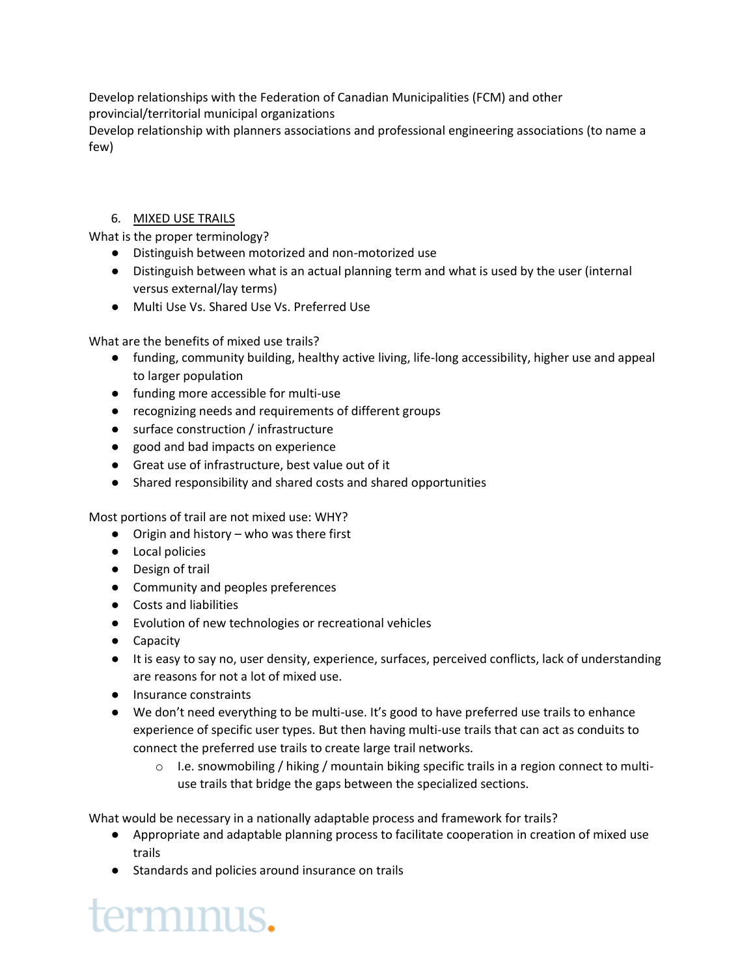Develop relationships with the Federation of Canadian Municipalities (FCM) and other provincial/territorial municipal organizations

Develop relationship with planners associations and professional engineering associations (to name a few)

## 6. MIXED USE TRAILS

What is the proper terminology?

- Distinguish between motorized and non-motorized use
- Distinguish between what is an actual planning term and what is used by the user (internal versus external/lay terms)
- Multi Use Vs. Shared Use Vs. Preferred Use

What are the benefits of mixed use trails?

- funding, community building, healthy active living, life-long accessibility, higher use and appeal to larger population
- funding more accessible for multi-use
- recognizing needs and requirements of different groups
- surface construction / infrastructure
- good and bad impacts on experience
- Great use of infrastructure, best value out of it
- Shared responsibility and shared costs and shared opportunities

Most portions of trail are not mixed use: WHY?

- Origin and history who was there first
- Local policies
- Design of trail
- Community and peoples preferences
- Costs and liabilities
- Evolution of new technologies or recreational vehicles
- Capacity
- It is easy to say no, user density, experience, surfaces, perceived conflicts, lack of understanding are reasons for not a lot of mixed use.
- Insurance constraints
- We don't need everything to be multi-use. It's good to have preferred use trails to enhance experience of specific user types. But then having multi-use trails that can act as conduits to connect the preferred use trails to create large trail networks.
	- $\circ$  I.e. snowmobiling / hiking / mountain biking specific trails in a region connect to multiuse trails that bridge the gaps between the specialized sections.

What would be necessary in a nationally adaptable process and framework for trails?

- Appropriate and adaptable planning process to facilitate cooperation in creation of mixed use trails
- Standards and policies around insurance on trails